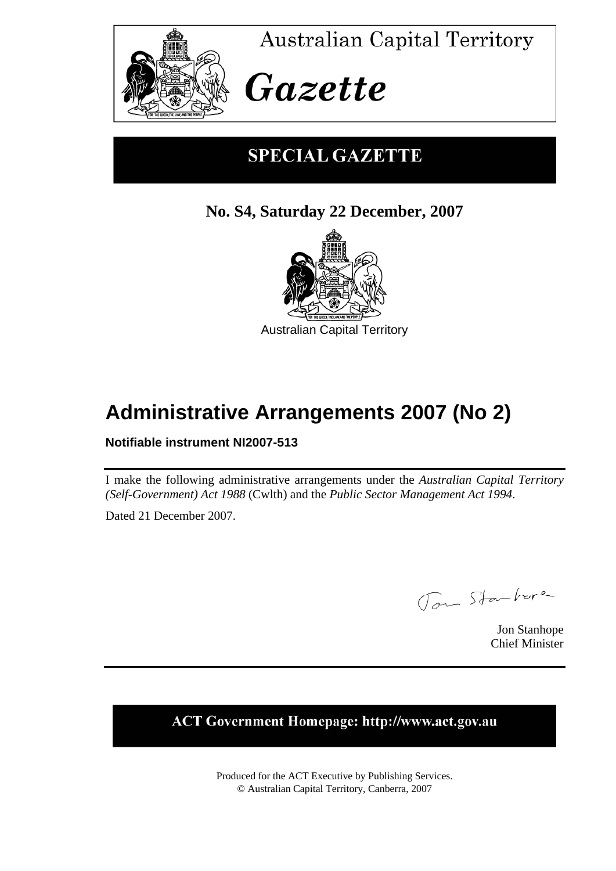

**Australian Capital Territory** 

# Gazette

# **SPECIAL GAZETTE**

# **No. S4, Saturday 22 December, 2007**



# **Administrative Arrangements 2007 (No 2)**

## **Notifiable instrument NI2007-513**

I make the following administrative arrangements under the *Australian Capital Territory (Self-Government) Act 1988* (Cwlth) and the *Public Sector Management Act 1994*.

Dated 21 December 2007.

Tom Stankere

Jon Stanhope Chief Minister

## **ACT Government Homepage: http://www.act.gov.au**

Produced for the ACT Executive by Publishing Services. © Australian Capital Territory, Canberra, 2007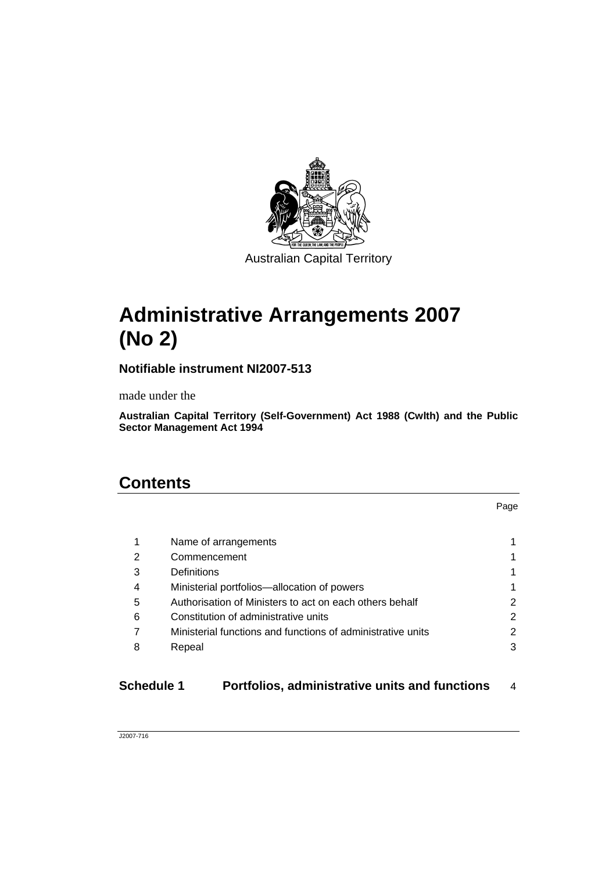

Australian Capital Territory

# **Administrative Arrangements 2007 (No 2)**

**Notifiable instrument NI2007-513**

made under the

**Australian Capital Territory (Self-Government) Act 1988 (Cwlth) and the Public Sector Management Act 1994** 

## **Contents**

|   | Name of arrangements                                        |   |
|---|-------------------------------------------------------------|---|
| 2 | Commencement                                                | 1 |
| 3 | <b>Definitions</b>                                          | 1 |
| 4 | Ministerial portfolios-allocation of powers                 | 1 |
| 5 | Authorisation of Ministers to act on each others behalf     | 2 |
| 6 | Constitution of administrative units                        | 2 |
| 7 | Ministerial functions and functions of administrative units | 2 |
| 8 | Repeal                                                      | 3 |
|   |                                                             |   |

**Schedule 1 Portfolios, administrative units and functions** 4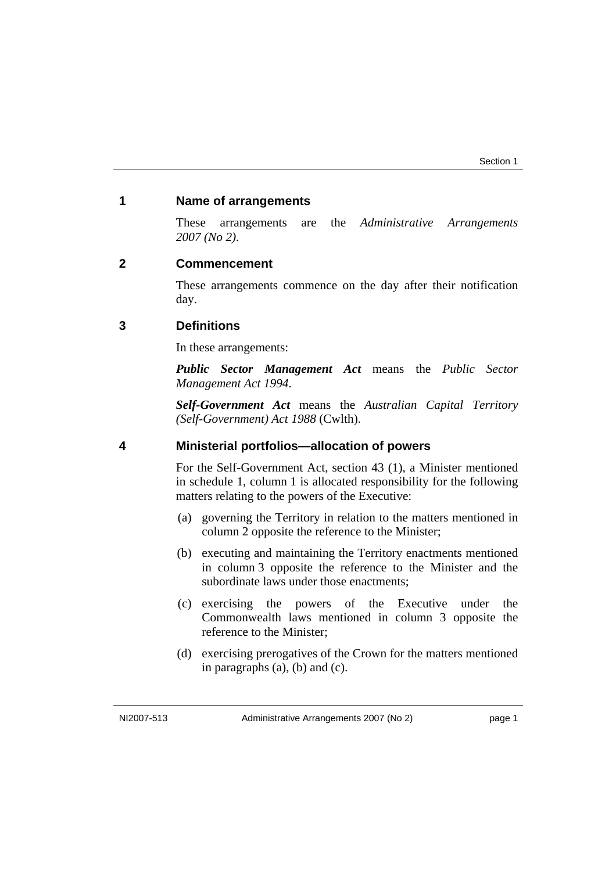### **1 Name of arrangements**

These arrangements are the *Administrative Arrangements 2007 (No 2)*.

### **2 Commencement**

These arrangements commence on the day after their notification day.

### **3 Definitions**

In these arrangements:

*Public Sector Management Act* means the *Public Sector Management Act 1994*.

*Self-Government Act* means the *Australian Capital Territory (Self-Government) Act 1988* (Cwlth).

### **4 Ministerial portfolios—allocation of powers**

For the Self-Government Act, section 43 (1), a Minister mentioned in schedule 1, column 1 is allocated responsibility for the following matters relating to the powers of the Executive:

- (a) governing the Territory in relation to the matters mentioned in column 2 opposite the reference to the Minister;
- (b) executing and maintaining the Territory enactments mentioned in column 3 opposite the reference to the Minister and the subordinate laws under those enactments;
- (c) exercising the powers of the Executive under the Commonwealth laws mentioned in column 3 opposite the reference to the Minister;
- (d) exercising prerogatives of the Crown for the matters mentioned in paragraphs (a), (b) and (c).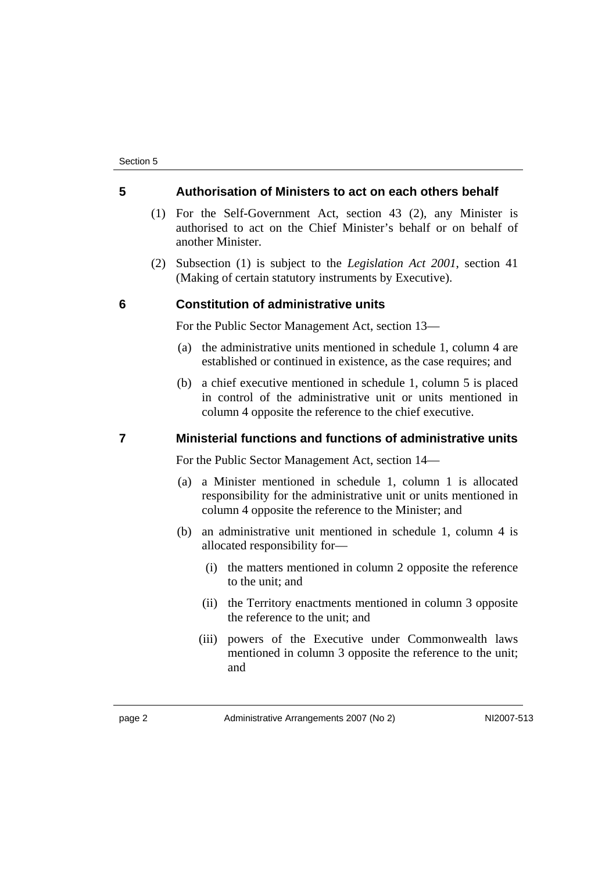### **5 Authorisation of Ministers to act on each others behalf**

- (1) For the Self-Government Act, section 43 (2), any Minister is authorised to act on the Chief Minister's behalf or on behalf of another Minister.
- (2) Subsection (1) is subject to the *Legislation Act 2001*, section 41 (Making of certain statutory instruments by Executive).

### **6 Constitution of administrative units**

For the Public Sector Management Act, section 13—

- (a) the administrative units mentioned in schedule 1, column 4 are established or continued in existence, as the case requires; and
- (b) a chief executive mentioned in schedule 1, column 5 is placed in control of the administrative unit or units mentioned in column 4 opposite the reference to the chief executive.

### **7 Ministerial functions and functions of administrative units**

For the Public Sector Management Act, section 14—

- (a) a Minister mentioned in schedule 1, column 1 is allocated responsibility for the administrative unit or units mentioned in column 4 opposite the reference to the Minister; and
- (b) an administrative unit mentioned in schedule 1, column 4 is allocated responsibility for—
	- (i) the matters mentioned in column 2 opposite the reference to the unit; and
	- (ii) the Territory enactments mentioned in column 3 opposite the reference to the unit; and
	- (iii) powers of the Executive under Commonwealth laws mentioned in column 3 opposite the reference to the unit; and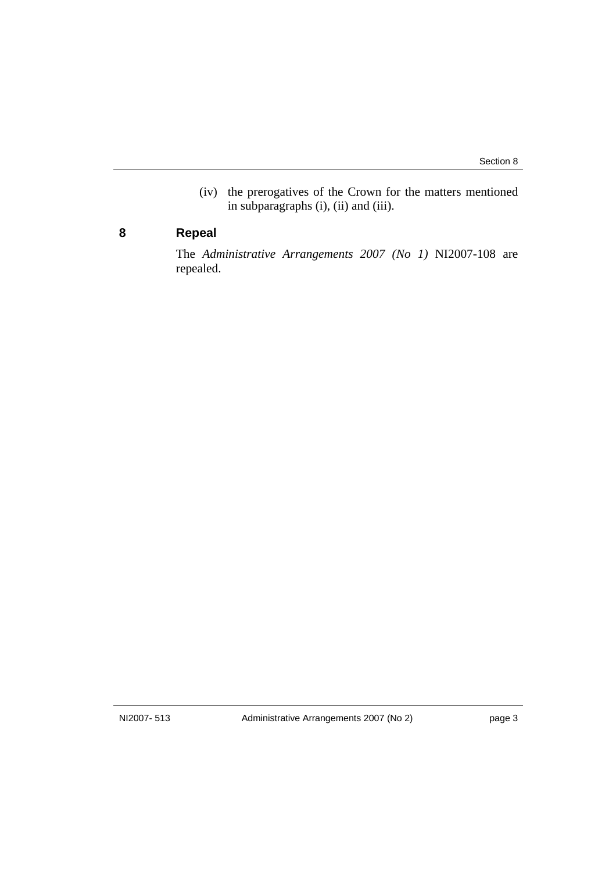(iv) the prerogatives of the Crown for the matters mentioned in subparagraphs (i), (ii) and (iii).

### **8 Repeal**

The *Administrative Arrangements 2007 (No 1)* NI2007-108 are repealed.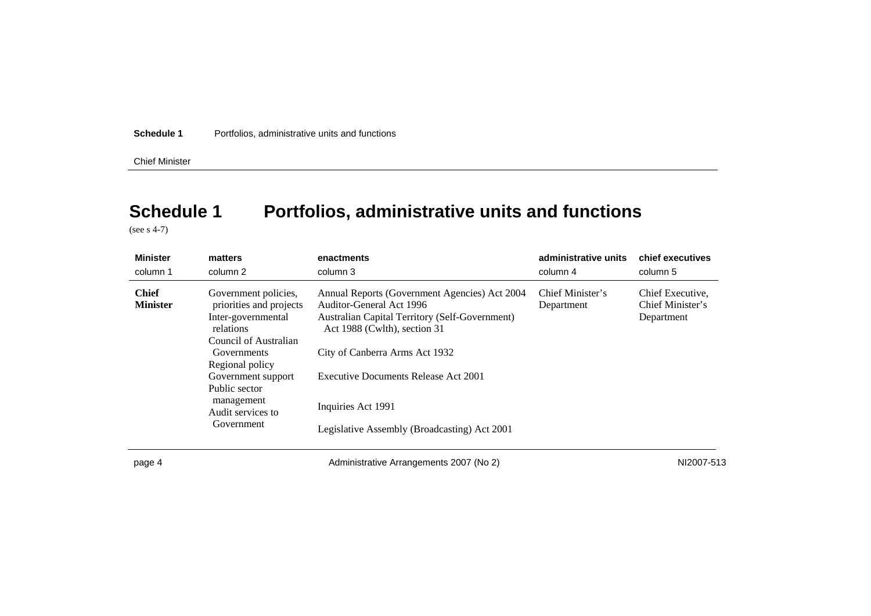Chief Minister

# **Schedule 1 Portfolios, administrative units and functions**

(see s 4-7)

| <b>Minister</b>                 | matters                                                                                                                                                                                                                                      | enactments                                                                                                                                                                                                                                                                                                  | administrative units           | chief executives                                   |
|---------------------------------|----------------------------------------------------------------------------------------------------------------------------------------------------------------------------------------------------------------------------------------------|-------------------------------------------------------------------------------------------------------------------------------------------------------------------------------------------------------------------------------------------------------------------------------------------------------------|--------------------------------|----------------------------------------------------|
| column 1                        | column 2                                                                                                                                                                                                                                     | column 3                                                                                                                                                                                                                                                                                                    | column 4                       | column 5                                           |
| <b>Chief</b><br><b>Minister</b> | Government policies,<br>priorities and projects<br>Inter-governmental<br>relations<br>Council of Australian<br><b>Governments</b><br>Regional policy<br>Government support<br>Public sector<br>management<br>Audit services to<br>Government | Annual Reports (Government Agencies) Act 2004<br>Auditor-General Act 1996<br>Australian Capital Territory (Self-Government)<br>Act 1988 (Cwlth), section 31<br>City of Canberra Arms Act 1932<br>Executive Documents Release Act 2001<br>Inquiries Act 1991<br>Legislative Assembly (Broadcasting) Act 2001 | Chief Minister's<br>Department | Chief Executive,<br>Chief Minister's<br>Department |
|                                 |                                                                                                                                                                                                                                              |                                                                                                                                                                                                                                                                                                             |                                |                                                    |

page 4 and the Communistrative Arrangements 2007 (No 2) and the Communistrative Arrangements 2007 (No 2) noise 1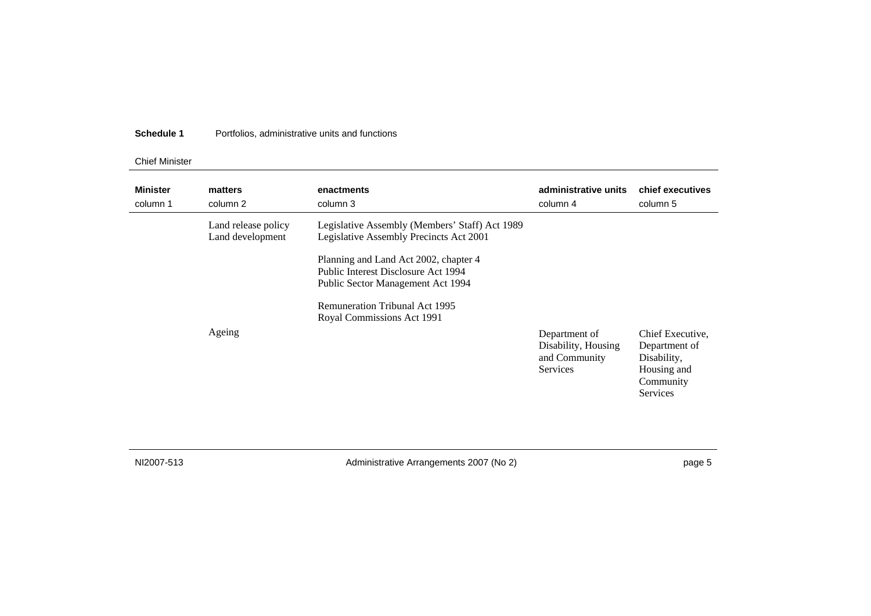### Chief Minister

| <b>Minister</b><br>column 1 | matters<br>column 2                     | enactments<br>column 3                                                                                            | administrative units<br>column 4                                         | chief executives<br>column 5                                                                    |
|-----------------------------|-----------------------------------------|-------------------------------------------------------------------------------------------------------------------|--------------------------------------------------------------------------|-------------------------------------------------------------------------------------------------|
|                             | Land release policy<br>Land development | Legislative Assembly (Members' Staff) Act 1989<br>Legislative Assembly Precincts Act 2001                         |                                                                          |                                                                                                 |
|                             |                                         | Planning and Land Act 2002, chapter 4<br>Public Interest Disclosure Act 1994<br>Public Sector Management Act 1994 |                                                                          |                                                                                                 |
|                             |                                         | <b>Remuneration Tribunal Act 1995</b><br>Royal Commissions Act 1991                                               |                                                                          |                                                                                                 |
|                             | Ageing                                  |                                                                                                                   | Department of<br>Disability, Housing<br>and Community<br><b>Services</b> | Chief Executive,<br>Department of<br>Disability,<br>Housing and<br>Community<br><b>Services</b> |

NI2007-513

Administrative Arrangements 2007 (No 2) end of the state of the page 5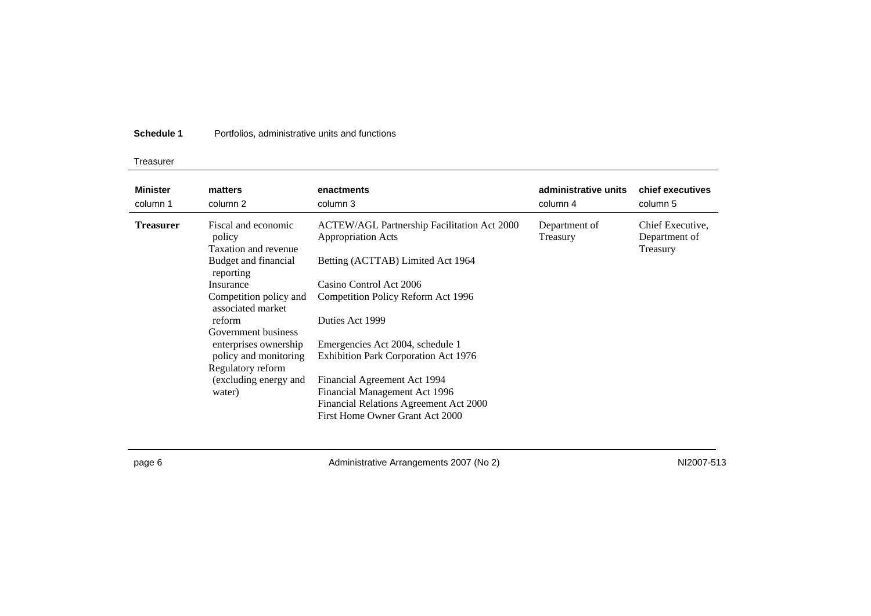### Treasurer

| <b>Minister</b><br>column 1 | matters<br>column 2                                   | enactments<br>column 3                                                          | administrative units<br>column 4 | chief executives<br>column 5                  |
|-----------------------------|-------------------------------------------------------|---------------------------------------------------------------------------------|----------------------------------|-----------------------------------------------|
| <b>Treasurer</b>            | Fiscal and economic<br>policy<br>Taxation and revenue | <b>ACTEW/AGL Partnership Facilitation Act 2000</b><br><b>Appropriation Acts</b> | Department of<br>Treasury        | Chief Executive.<br>Department of<br>Treasury |
|                             | Budget and financial<br>reporting                     | Betting (ACTTAB) Limited Act 1964                                               |                                  |                                               |
|                             | Insurance                                             | Casino Control Act 2006                                                         |                                  |                                               |
|                             | Competition policy and<br>associated market           | Competition Policy Reform Act 1996                                              |                                  |                                               |
|                             | reform                                                | Duties Act 1999                                                                 |                                  |                                               |
|                             | Government business                                   |                                                                                 |                                  |                                               |
|                             | enterprises ownership                                 | Emergencies Act 2004, schedule 1                                                |                                  |                                               |
|                             | policy and monitoring                                 | <b>Exhibition Park Corporation Act 1976</b>                                     |                                  |                                               |
|                             | Regulatory reform                                     |                                                                                 |                                  |                                               |
|                             | (excluding energy and                                 | Financial Agreement Act 1994                                                    |                                  |                                               |
|                             | water)                                                | Financial Management Act 1996                                                   |                                  |                                               |
|                             |                                                       | Financial Relations Agreement Act 2000                                          |                                  |                                               |
|                             |                                                       | First Home Owner Grant Act 2000                                                 |                                  |                                               |

page 6 and the Communistrative Arrangements 2007 (No 2) and the Communistrative Arrangements 2007 (No 2) https://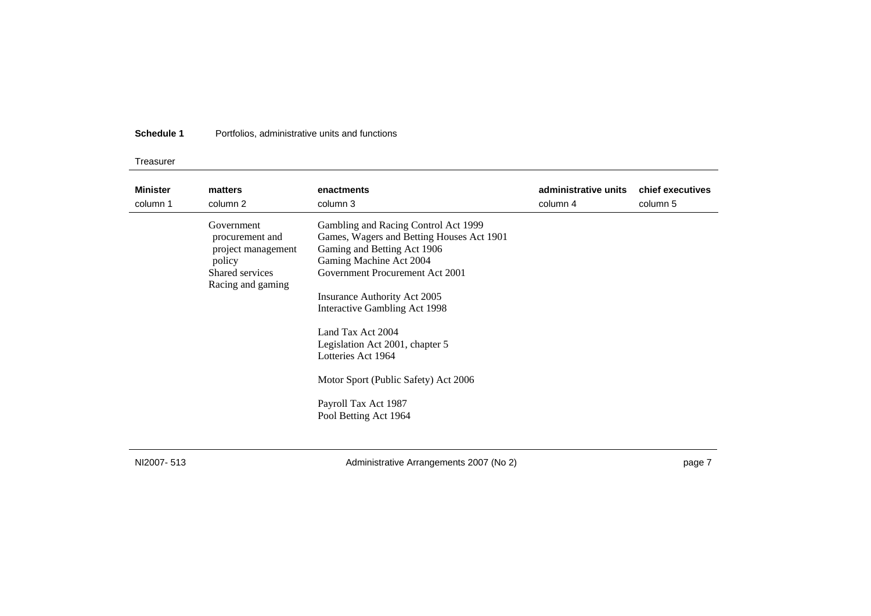### Treasurer

| Gambling and Racing Control Act 1999<br>Government<br>Games, Wagers and Betting Houses Act 1901<br>procurement and<br>Gaming and Betting Act 1906<br>project management<br>Gaming Machine Act 2004<br>policy<br>Government Procurement Act 2001<br>Shared services<br>Racing and gaming<br>Insurance Authority Act 2005<br>Interactive Gambling Act 1998<br>Land Tax Act 2004 | <b>Minister</b><br>column 1 | matters<br>column 2 | enactments<br>column 3          | administrative units<br>column 4 | chief executives<br>column 5 |
|-------------------------------------------------------------------------------------------------------------------------------------------------------------------------------------------------------------------------------------------------------------------------------------------------------------------------------------------------------------------------------|-----------------------------|---------------------|---------------------------------|----------------------------------|------------------------------|
| Lotteries Act 1964<br>Motor Sport (Public Safety) Act 2006<br>Payroll Tax Act 1987<br>Pool Betting Act 1964                                                                                                                                                                                                                                                                   |                             |                     | Legislation Act 2001, chapter 5 |                                  |                              |

NI2007- 513

Administrative Arrangements 2007 (No 2) end of the contract of the page 7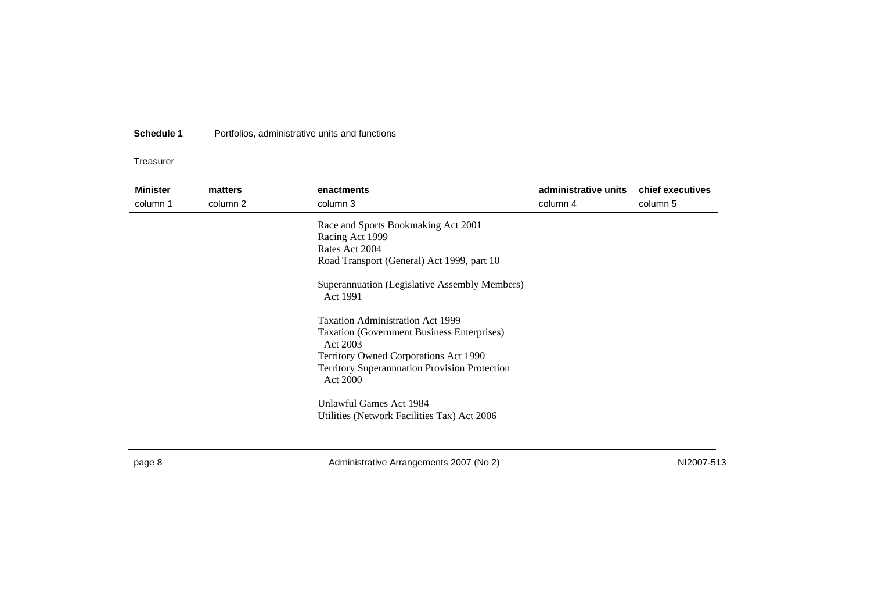Treasurer

| <b>Minister</b><br>column 1 | matters<br>column 2 | enactments<br>column 3                                                                                                                                                                                  | administrative units<br>column 4 | chief executives<br>column 5 |
|-----------------------------|---------------------|---------------------------------------------------------------------------------------------------------------------------------------------------------------------------------------------------------|----------------------------------|------------------------------|
|                             |                     | Race and Sports Bookmaking Act 2001<br>Racing Act 1999<br>Rates Act 2004<br>Road Transport (General) Act 1999, part 10                                                                                  |                                  |                              |
|                             |                     | Superannuation (Legislative Assembly Members)<br>Act 1991                                                                                                                                               |                                  |                              |
|                             |                     | <b>Taxation Administration Act 1999</b><br>Taxation (Government Business Enterprises)<br>Act 2003<br>Territory Owned Corporations Act 1990<br>Territory Superannuation Provision Protection<br>Act 2000 |                                  |                              |
|                             |                     | Unlawful Games Act 1984<br>Utilities (Network Facilities Tax) Act 2006                                                                                                                                  |                                  |                              |

page 8 and the Communistrative Arrangements 2007 (No 2) and the Communistrative Arrangements 2007 (No 2) https://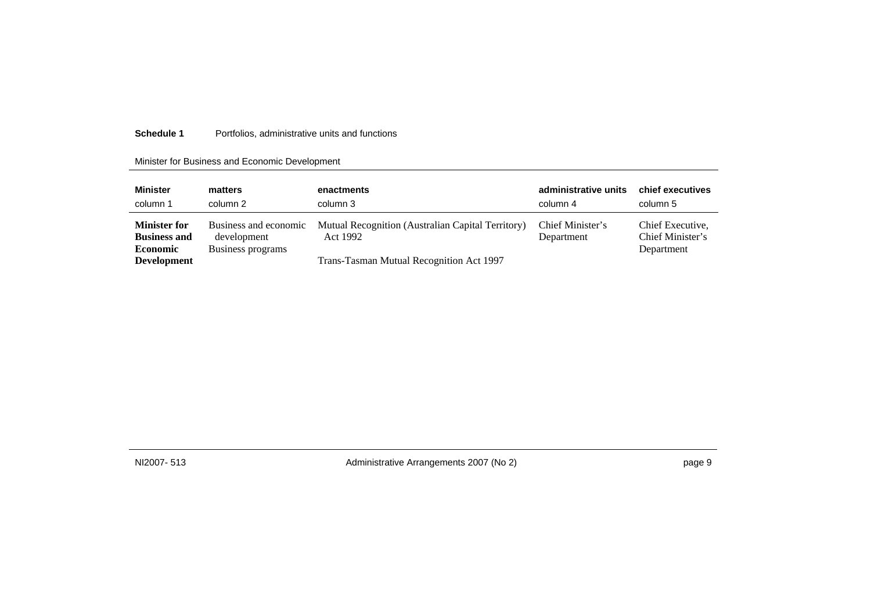### Minister for Business and Economic Development

| <b>Minister</b>                                                                     | matters                                                   | enactments                                                                                                | administrative units           | chief executives                                   |
|-------------------------------------------------------------------------------------|-----------------------------------------------------------|-----------------------------------------------------------------------------------------------------------|--------------------------------|----------------------------------------------------|
| column 1                                                                            | column 2                                                  | column 3                                                                                                  | column 4                       | column 5                                           |
| <b>Minister for</b><br><b>Business and</b><br><b>Economic</b><br><b>Development</b> | Business and economic<br>development<br>Business programs | Mutual Recognition (Australian Capital Territory)<br>Act 1992<br>Trans-Tasman Mutual Recognition Act 1997 | Chief Minister's<br>Department | Chief Executive.<br>Chief Minister's<br>Department |

NI2007- 513

Administrative Arrangements 2007 (No 2) end of the state of the page 9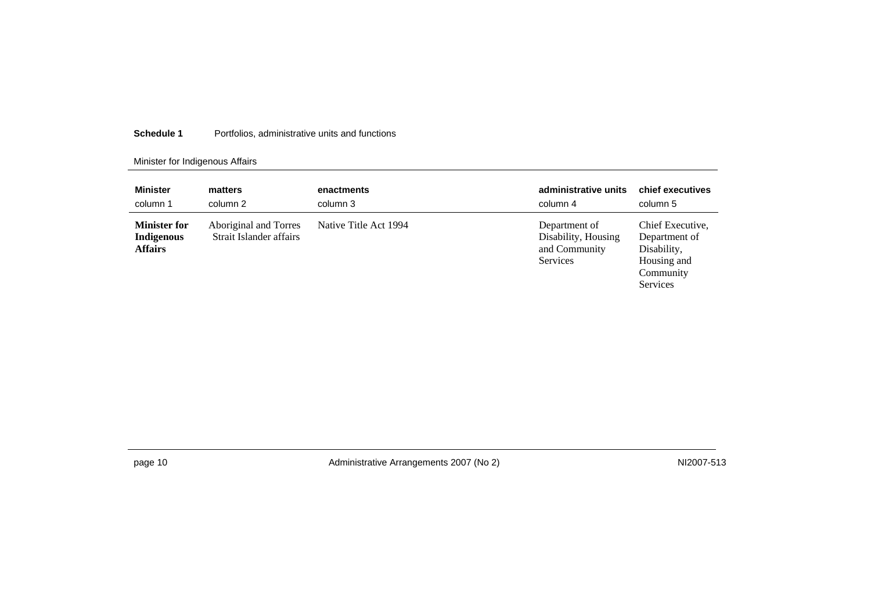### Minister for Indigenous Affairs

| <b>Minister</b>                                            | matters                                          | enactments            | administrative units                                              | chief executives                                                                         |
|------------------------------------------------------------|--------------------------------------------------|-----------------------|-------------------------------------------------------------------|------------------------------------------------------------------------------------------|
| column 1                                                   | column 2                                         | column 3              | column 4                                                          | column 5                                                                                 |
| <b>Minister for</b><br><b>Indigenous</b><br><b>Affairs</b> | Aboriginal and Torres<br>Strait Islander affairs | Native Title Act 1994 | Department of<br>Disability, Housing<br>and Community<br>Services | Chief Executive,<br>Department of<br>Disability,<br>Housing and<br>Community<br>Services |

page 10 MI2007-513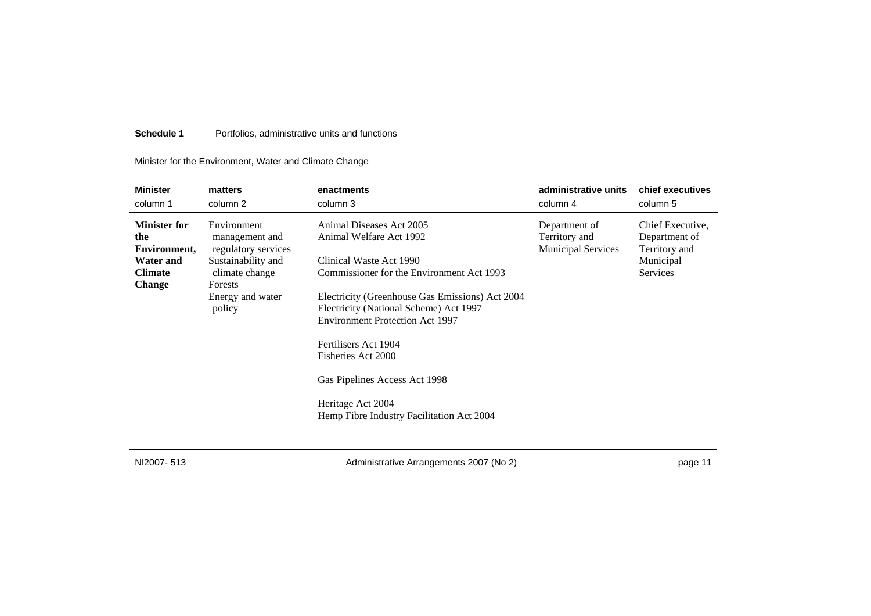### Minister for the Environment, Water and Climate Change

| <b>Minister</b>                                                                                   | matters                                                                                                                                      | enactments                                                                                                                                                                                                                                                                                                                                                                                                          | administrative units                                        | chief executives                                                                   |
|---------------------------------------------------------------------------------------------------|----------------------------------------------------------------------------------------------------------------------------------------------|---------------------------------------------------------------------------------------------------------------------------------------------------------------------------------------------------------------------------------------------------------------------------------------------------------------------------------------------------------------------------------------------------------------------|-------------------------------------------------------------|------------------------------------------------------------------------------------|
| column 1                                                                                          | column 2                                                                                                                                     | column 3                                                                                                                                                                                                                                                                                                                                                                                                            | column 4                                                    | column 5                                                                           |
| <b>Minister for</b><br>the<br>Environment,<br><b>Water and</b><br><b>Climate</b><br><b>Change</b> | Environment<br>management and<br>regulatory services<br>Sustainability and<br>climate change<br><b>Forests</b><br>Energy and water<br>policy | Animal Diseases Act 2005<br>Animal Welfare Act 1992<br>Clinical Waste Act 1990<br>Commissioner for the Environment Act 1993<br>Electricity (Greenhouse Gas Emissions) Act 2004<br>Electricity (National Scheme) Act 1997<br><b>Environment Protection Act 1997</b><br>Fertilisers Act 1904<br>Fisheries Act 2000<br>Gas Pipelines Access Act 1998<br>Heritage Act 2004<br>Hemp Fibre Industry Facilitation Act 2004 | Department of<br>Territory and<br><b>Municipal Services</b> | Chief Executive,<br>Department of<br>Territory and<br>Municipal<br><b>Services</b> |

NI2007- 513

Administrative Arrangements 2007 (No 2) end contract the state of the page 11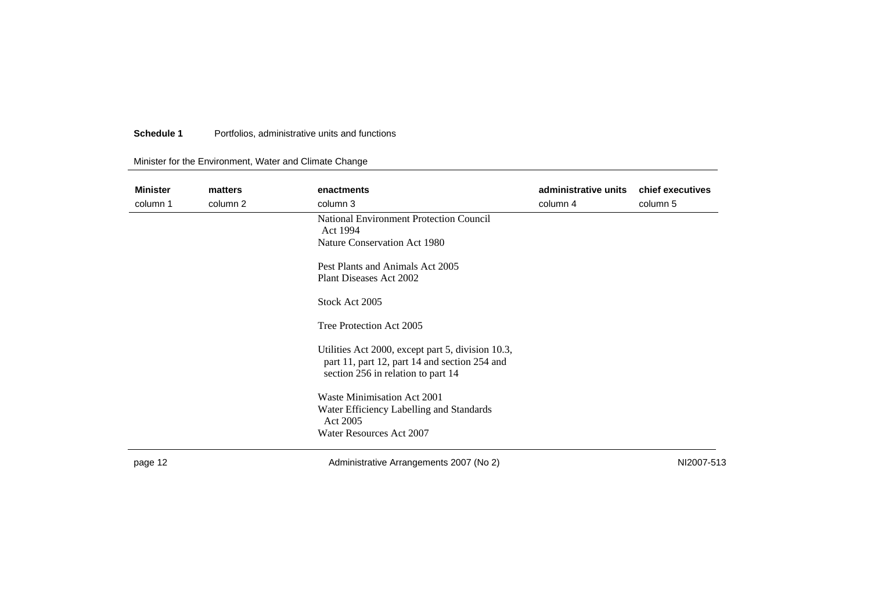### Minister for the Environment, Water and Climate Change

| <b>Minister</b> | matters  | enactments                                                                                                                               | administrative units | chief executives |
|-----------------|----------|------------------------------------------------------------------------------------------------------------------------------------------|----------------------|------------------|
| column 1        | column 2 | column 3                                                                                                                                 | column 4             | column 5         |
|                 |          | National Environment Protection Council<br>Act 1994                                                                                      |                      |                  |
|                 |          | Nature Conservation Act 1980                                                                                                             |                      |                  |
|                 |          | Pest Plants and Animals Act 2005                                                                                                         |                      |                  |
|                 |          | Plant Diseases Act 2002                                                                                                                  |                      |                  |
|                 |          | Stock Act 2005                                                                                                                           |                      |                  |
|                 |          | Tree Protection Act 2005                                                                                                                 |                      |                  |
|                 |          | Utilities Act 2000, except part 5, division 10.3,<br>part 11, part 12, part 14 and section 254 and<br>section 256 in relation to part 14 |                      |                  |
|                 |          | Waste Minimisation Act 2001                                                                                                              |                      |                  |
|                 |          | Water Efficiency Labelling and Standards<br>Act 2005                                                                                     |                      |                  |
|                 |          | Water Resources Act 2007                                                                                                                 |                      |                  |
| page 12         |          | Administrative Arrangements 2007 (No 2)                                                                                                  |                      | NI2007-513       |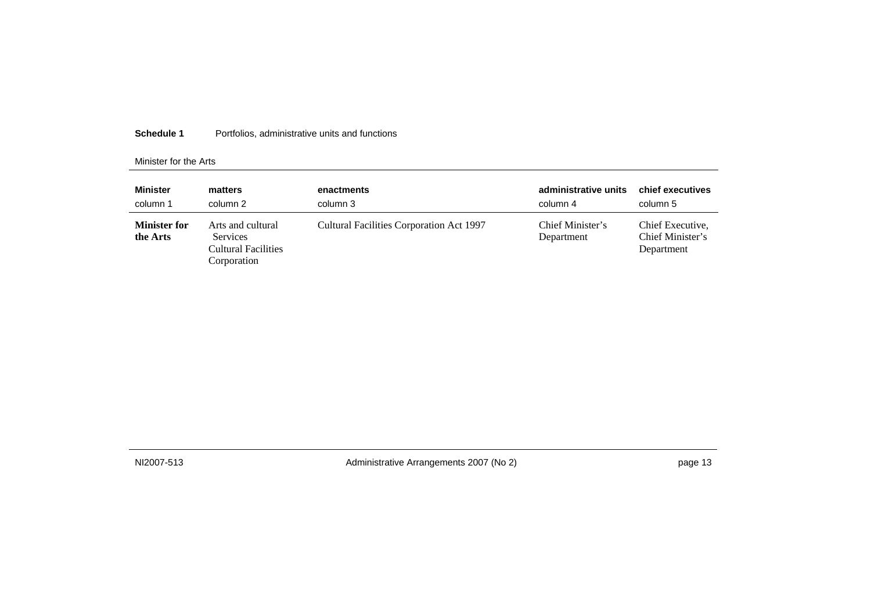#### Minister for the Arts

| <b>Minister</b>                 | matters                                                                    | enactments                               | administrative units           | chief executives                                   |
|---------------------------------|----------------------------------------------------------------------------|------------------------------------------|--------------------------------|----------------------------------------------------|
| column 1                        | column 2                                                                   | column 3                                 | column 4                       | column 5                                           |
| <b>Minister for</b><br>the Arts | Arts and cultural<br><b>Services</b><br>Cultural Facilities<br>Corporation | Cultural Facilities Corporation Act 1997 | Chief Minister's<br>Department | Chief Executive,<br>Chief Minister's<br>Department |

NI2007-513

Administrative Arrangements 2007 (No 2) eage 13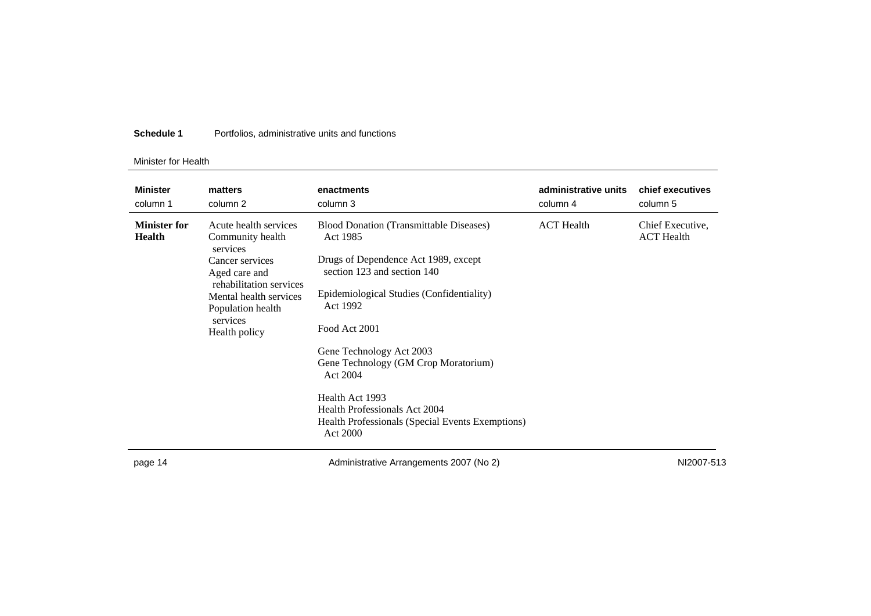#### Minister for Health

| <b>Minister</b><br>column 1          | matters<br>column 2                                         | enactments<br>column 3                                              | administrative units<br>column 4 | chief executives<br>column 5          |
|--------------------------------------|-------------------------------------------------------------|---------------------------------------------------------------------|----------------------------------|---------------------------------------|
| <b>Minister for</b><br><b>Health</b> | Acute health services<br>Community health<br>services       | <b>Blood Donation (Transmittable Diseases)</b><br>Act 1985          | <b>ACT</b> Health                | Chief Executive,<br><b>ACT</b> Health |
|                                      | Cancer services<br>Aged care and<br>rehabilitation services | Drugs of Dependence Act 1989, except<br>section 123 and section 140 |                                  |                                       |
|                                      | Mental health services<br>Population health                 | Epidemiological Studies (Confidentiality)<br>Act 1992               |                                  |                                       |
|                                      | services<br>Health policy                                   | Food Act 2001                                                       |                                  |                                       |
|                                      |                                                             | Gene Technology Act 2003                                            |                                  |                                       |
|                                      |                                                             | Gene Technology (GM Crop Moratorium)<br>Act 2004                    |                                  |                                       |
|                                      |                                                             | Health Act 1993                                                     |                                  |                                       |
|                                      |                                                             | <b>Health Professionals Act 2004</b>                                |                                  |                                       |
|                                      |                                                             | Health Professionals (Special Events Exemptions)<br>Act 2000        |                                  |                                       |
| page 14                              |                                                             | Administrative Arrangements 2007 (No 2)                             |                                  | NI2007-513                            |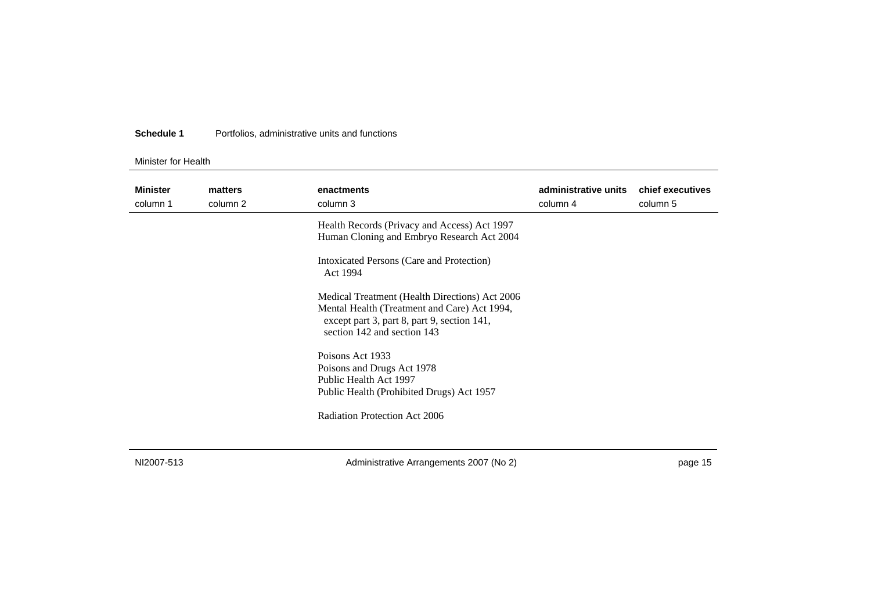#### Minister for Health

| <b>Minister</b><br>column 1 | matters<br>column 2 | enactments<br>column 3                                                                                                                                                       | administrative units<br>column 4 | chief executives<br>column 5 |
|-----------------------------|---------------------|------------------------------------------------------------------------------------------------------------------------------------------------------------------------------|----------------------------------|------------------------------|
|                             |                     | Health Records (Privacy and Access) Act 1997<br>Human Cloning and Embryo Research Act 2004                                                                                   |                                  |                              |
|                             |                     | Intoxicated Persons (Care and Protection)<br>Act 1994                                                                                                                        |                                  |                              |
|                             |                     | Medical Treatment (Health Directions) Act 2006<br>Mental Health (Treatment and Care) Act 1994,<br>except part 3, part 8, part 9, section 141,<br>section 142 and section 143 |                                  |                              |
|                             |                     | Poisons Act 1933<br>Poisons and Drugs Act 1978<br>Public Health Act 1997<br>Public Health (Prohibited Drugs) Act 1957                                                        |                                  |                              |
|                             |                     | Radiation Protection Act 2006                                                                                                                                                |                                  |                              |

NI2007-513

Administrative Arrangements 2007 (No 2) end contract the contract of the page 15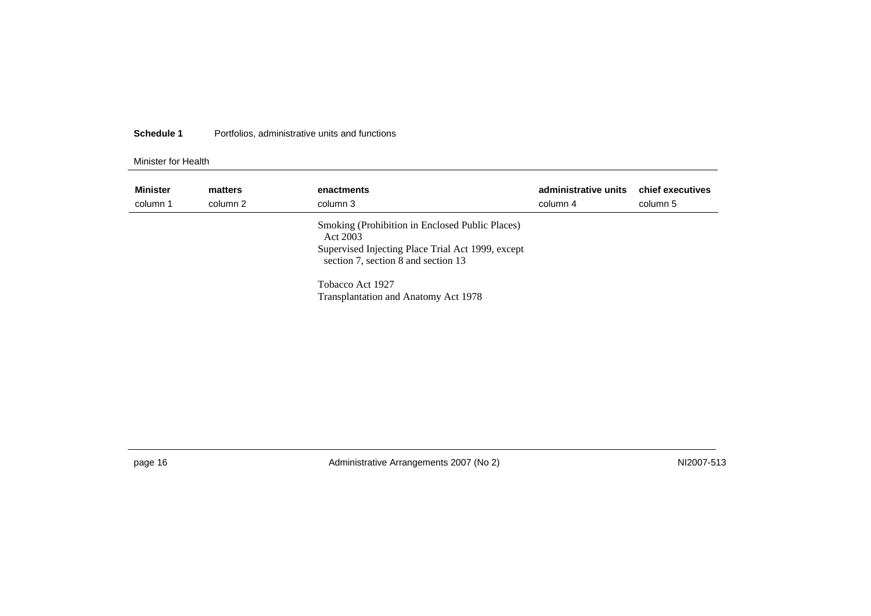#### Minister for Health

| <b>Minister</b><br>column 1 | matters<br>column 2 | enactments<br>column 3                                                                                                                                  | administrative units<br>column 4 | chief executives<br>column 5 |
|-----------------------------|---------------------|---------------------------------------------------------------------------------------------------------------------------------------------------------|----------------------------------|------------------------------|
|                             |                     | Smoking (Prohibition in Enclosed Public Places)<br>Act 2003<br>Supervised Injecting Place Trial Act 1999, except<br>section 7, section 8 and section 13 |                                  |                              |
|                             |                     | Tobacco Act 1927<br>Transplantation and Anatomy Act 1978                                                                                                |                                  |                              |

page 16 MI2007-513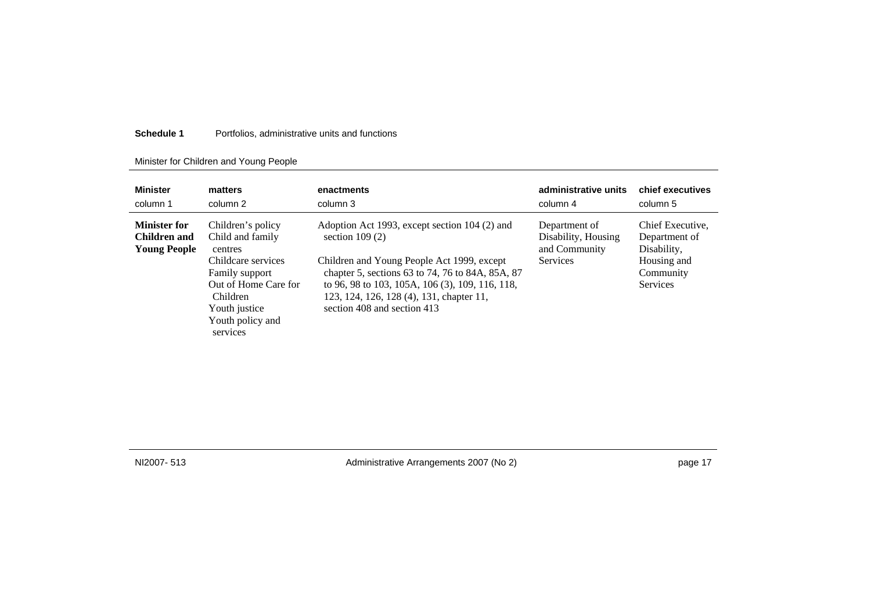### Minister for Children and Young People

| <b>Minister</b>                                            | matters                                                                                                                                                                       | enactments                                                                                                                                                                                                                                                                                        | administrative units                                                     | chief executives                                                                         |
|------------------------------------------------------------|-------------------------------------------------------------------------------------------------------------------------------------------------------------------------------|---------------------------------------------------------------------------------------------------------------------------------------------------------------------------------------------------------------------------------------------------------------------------------------------------|--------------------------------------------------------------------------|------------------------------------------------------------------------------------------|
| column 1                                                   | column 2                                                                                                                                                                      | column 3                                                                                                                                                                                                                                                                                          | column 4                                                                 | column 5                                                                                 |
| <b>Minister for</b><br>Children and<br><b>Young People</b> | Children's policy<br>Child and family<br>centres<br>Childcare services<br>Family support<br>Out of Home Care for<br>Children<br>Youth justice<br>Youth policy and<br>services | Adoption Act 1993, except section 104 (2) and<br>section $109(2)$<br>Children and Young People Act 1999, except<br>chapter 5, sections 63 to 74, 76 to 84A, 85A, 87<br>to 96, 98 to 103, 105A, 106 (3), 109, 116, 118,<br>123, 124, 126, 128 (4), 131, chapter 11,<br>section 408 and section 413 | Department of<br>Disability, Housing<br>and Community<br><b>Services</b> | Chief Executive.<br>Department of<br>Disability,<br>Housing and<br>Community<br>Services |

NI2007- 513

Administrative Arrangements 2007 (No 2) end contract the state of the page 17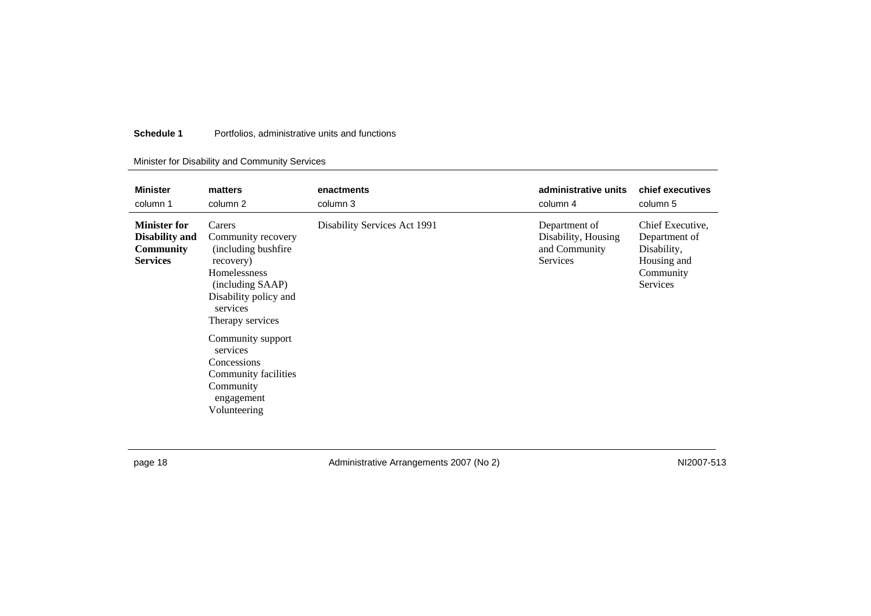### Minister for Disability and Community Services

| <b>Minister</b>                                                                     | matters                                                                                                                                                                                                                                                                           | enactments                   | administrative units                                                     | chief executives                                                                         |
|-------------------------------------------------------------------------------------|-----------------------------------------------------------------------------------------------------------------------------------------------------------------------------------------------------------------------------------------------------------------------------------|------------------------------|--------------------------------------------------------------------------|------------------------------------------------------------------------------------------|
| column 1                                                                            | column 2                                                                                                                                                                                                                                                                          | column 3                     | column 4                                                                 | column 5                                                                                 |
| <b>Minister for</b><br><b>Disability and</b><br><b>Community</b><br><b>Services</b> | Carers<br>Community recovery<br>(including bushfire)<br>recovery)<br>Homelessness<br>(including SAAP)<br>Disability policy and<br>services<br>Therapy services<br>Community support<br>services<br>Concessions<br>Community facilities<br>Community<br>engagement<br>Volunteering | Disability Services Act 1991 | Department of<br>Disability, Housing<br>and Community<br><b>Services</b> | Chief Executive,<br>Department of<br>Disability,<br>Housing and<br>Community<br>Services |

page 18 MI2007-513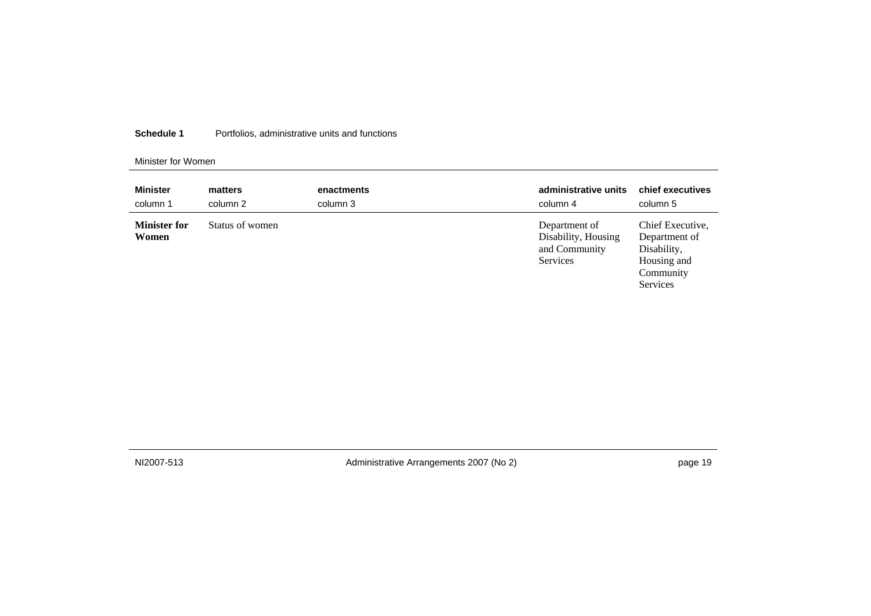#### Minister for Women

| <b>Minister</b>              | matters         | enactments | administrative units                                              | chief executives                                                                         |
|------------------------------|-----------------|------------|-------------------------------------------------------------------|------------------------------------------------------------------------------------------|
| column 1                     | column 2        | column 3   | column 4                                                          | column 5                                                                                 |
| <b>Minister for</b><br>Women | Status of women |            | Department of<br>Disability, Housing<br>and Community<br>Services | Chief Executive.<br>Department of<br>Disability,<br>Housing and<br>Community<br>Services |

NI2007-513

Administrative Arrangements 2007 (No 2) end on the contract of the page 19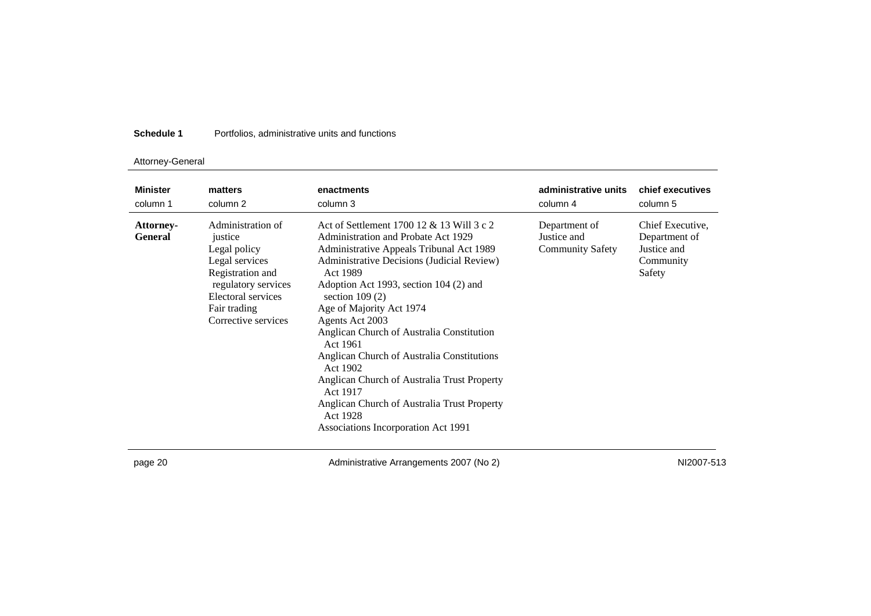### Attorney-General

| <b>Minister</b>                    | matters                                                                                                                                                                | enactments                                                                                                                                                                                                                                                                                                                                                                                                                                                                                                                                                                          | administrative units                                    | chief executives                                                        |
|------------------------------------|------------------------------------------------------------------------------------------------------------------------------------------------------------------------|-------------------------------------------------------------------------------------------------------------------------------------------------------------------------------------------------------------------------------------------------------------------------------------------------------------------------------------------------------------------------------------------------------------------------------------------------------------------------------------------------------------------------------------------------------------------------------------|---------------------------------------------------------|-------------------------------------------------------------------------|
| column 1                           | column 2                                                                                                                                                               | column 3                                                                                                                                                                                                                                                                                                                                                                                                                                                                                                                                                                            | column 4                                                | column 5                                                                |
| <b>Attorney-</b><br><b>General</b> | Administration of<br>justice<br>Legal policy<br>Legal services<br>Registration and<br>regulatory services<br>Electoral services<br>Fair trading<br>Corrective services | Act of Settlement 1700 12 & 13 Will 3 c 2<br>Administration and Probate Act 1929<br>Administrative Appeals Tribunal Act 1989<br>Administrative Decisions (Judicial Review)<br>Act 1989<br>Adoption Act 1993, section 104 (2) and<br>section $109(2)$<br>Age of Majority Act 1974<br>Agents Act 2003<br>Anglican Church of Australia Constitution<br>Act 1961<br>Anglican Church of Australia Constitutions<br>Act 1902<br>Anglican Church of Australia Trust Property<br>Act 1917<br>Anglican Church of Australia Trust Property<br>Act 1928<br>Associations Incorporation Act 1991 | Department of<br>Justice and<br><b>Community Safety</b> | Chief Executive,<br>Department of<br>Justice and<br>Community<br>Safety |

page 20 MI2007-513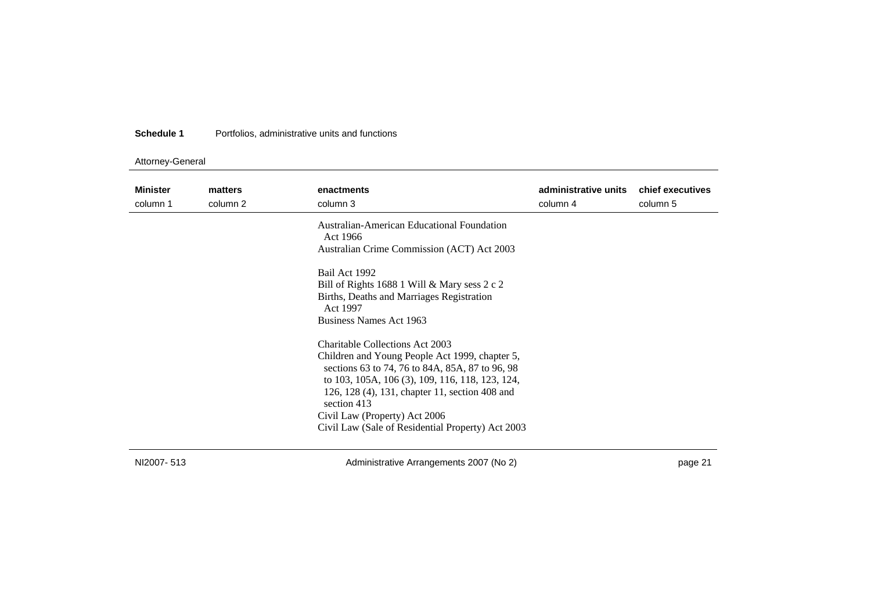### Attorney-General

| <b>Minister</b><br>column 1 | matters<br>column 2 | enactments<br>column 3                                                                                                                                                                                                                                                                                                                         | administrative units<br>column 4 | chief executives<br>column 5 |
|-----------------------------|---------------------|------------------------------------------------------------------------------------------------------------------------------------------------------------------------------------------------------------------------------------------------------------------------------------------------------------------------------------------------|----------------------------------|------------------------------|
|                             |                     | Australian-American Educational Foundation<br>Act 1966<br>Australian Crime Commission (ACT) Act 2003                                                                                                                                                                                                                                           |                                  |                              |
|                             |                     | Bail Act 1992<br>Bill of Rights 1688 1 Will & Mary sess $2c2$<br>Births, Deaths and Marriages Registration<br>Act 1997<br>Business Names Act 1963                                                                                                                                                                                              |                                  |                              |
|                             |                     | Charitable Collections Act 2003<br>Children and Young People Act 1999, chapter 5,<br>sections 63 to 74, 76 to 84A, 85A, 87 to 96, 98<br>to 103, 105A, 106 (3), 109, 116, 118, 123, 124,<br>126, 128 (4), 131, chapter 11, section 408 and<br>section 413<br>Civil Law (Property) Act 2006<br>Civil Law (Sale of Residential Property) Act 2003 |                                  |                              |

NI2007- 513

Administrative Arrangements 2007 (No 2) end contract the state of the page 21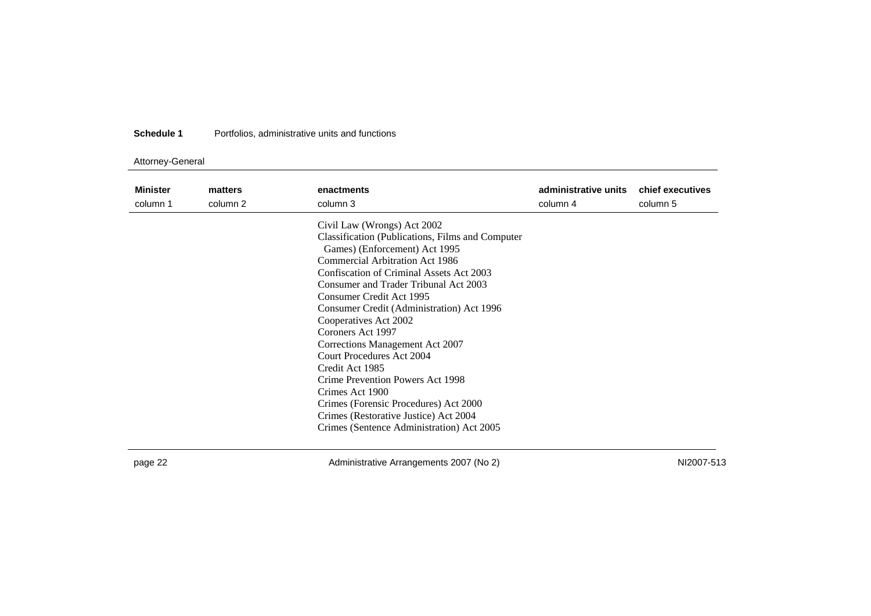### Attorney-General

| <b>Minister</b> | matters  | enactments                                                                                                                                                                                                                                                                                                                                                                                                                                                                                                                                                                                                                               | administrative units | chief executives |
|-----------------|----------|------------------------------------------------------------------------------------------------------------------------------------------------------------------------------------------------------------------------------------------------------------------------------------------------------------------------------------------------------------------------------------------------------------------------------------------------------------------------------------------------------------------------------------------------------------------------------------------------------------------------------------------|----------------------|------------------|
| column 1        | column 2 | column 3                                                                                                                                                                                                                                                                                                                                                                                                                                                                                                                                                                                                                                 | column 4             | column 5         |
|                 |          | Civil Law (Wrongs) Act 2002<br>Classification (Publications, Films and Computer<br>Games) (Enforcement) Act 1995<br>Commercial Arbitration Act 1986<br>Confiscation of Criminal Assets Act 2003<br>Consumer and Trader Tribunal Act 2003<br>Consumer Credit Act 1995<br>Consumer Credit (Administration) Act 1996<br>Cooperatives Act 2002<br>Coroners Act 1997<br>Corrections Management Act 2007<br>Court Procedures Act 2004<br>Credit Act 1985<br>Crime Prevention Powers Act 1998<br>Crimes Act 1900<br>Crimes (Forensic Procedures) Act 2000<br>Crimes (Restorative Justice) Act 2004<br>Crimes (Sentence Administration) Act 2005 |                      |                  |

page 22 **Administrative Arrangements 2007 (No 2)** MI2007-513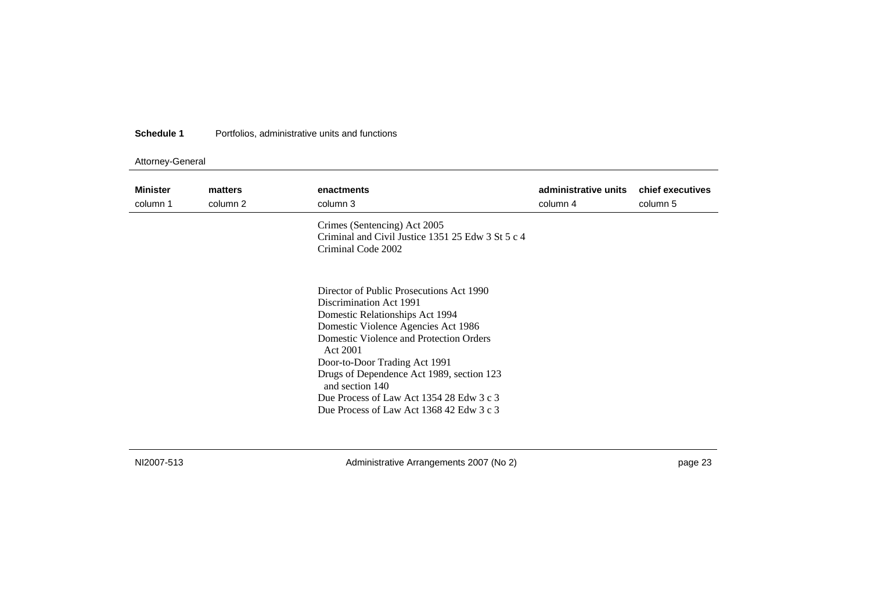### Attorney-General

| <b>Minister</b><br>column 1 | matters<br>column 2 | enactments<br>column 3                                                                                                                                                                                                                                                                                                                                                                        | administrative units<br>column 4 | chief executives<br>column 5 |
|-----------------------------|---------------------|-----------------------------------------------------------------------------------------------------------------------------------------------------------------------------------------------------------------------------------------------------------------------------------------------------------------------------------------------------------------------------------------------|----------------------------------|------------------------------|
|                             |                     | Crimes (Sentencing) Act 2005<br>Criminal and Civil Justice 1351 25 Edw 3 St 5 c 4<br>Criminal Code 2002                                                                                                                                                                                                                                                                                       |                                  |                              |
|                             |                     | Director of Public Prosecutions Act 1990<br>Discrimination Act 1991<br>Domestic Relationships Act 1994<br>Domestic Violence Agencies Act 1986<br>Domestic Violence and Protection Orders<br>Act 2001<br>Door-to-Door Trading Act 1991<br>Drugs of Dependence Act 1989, section 123<br>and section 140<br>Due Process of Law Act 1354 28 Edw 3 c 3<br>Due Process of Law Act 1368 42 Edw 3 c 3 |                                  |                              |

NI2007-513

Administrative Arrangements 2007 (No 2) eage 23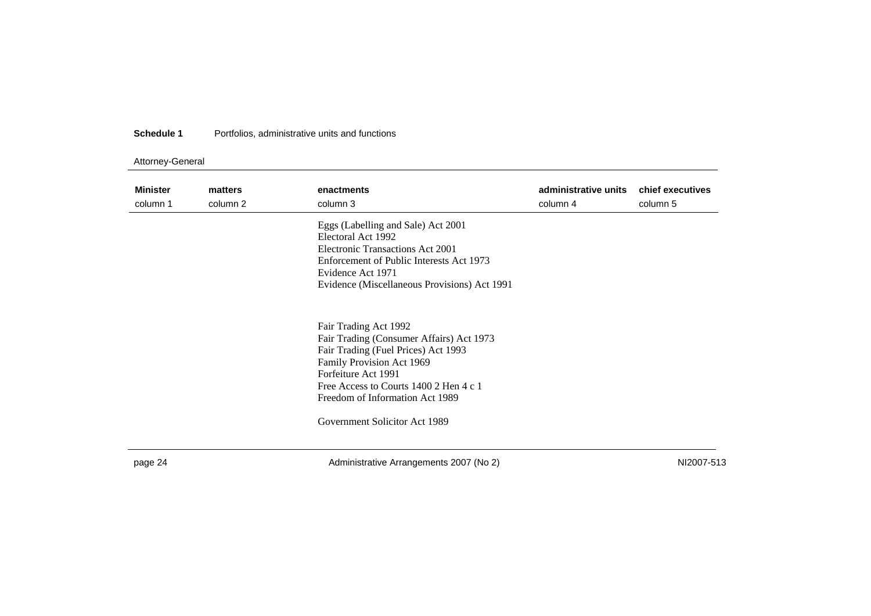### Attorney-General

| <b>Minister</b><br>column 1 | matters<br>column 2 | enactments<br>column 3                                                                                                                                                                                                                    | administrative units<br>column 4 | chief executives<br>column 5 |
|-----------------------------|---------------------|-------------------------------------------------------------------------------------------------------------------------------------------------------------------------------------------------------------------------------------------|----------------------------------|------------------------------|
|                             |                     | Eggs (Labelling and Sale) Act 2001<br>Electoral Act 1992<br>Electronic Transactions Act 2001<br>Enforcement of Public Interests Act 1973<br>Evidence Act 1971<br>Evidence (Miscellaneous Provisions) Act 1991                             |                                  |                              |
|                             |                     | Fair Trading Act 1992<br>Fair Trading (Consumer Affairs) Act 1973<br>Fair Trading (Fuel Prices) Act 1993<br>Family Provision Act 1969<br>Forfeiture Act 1991<br>Free Access to Courts 1400 2 Hen 4 c 1<br>Freedom of Information Act 1989 |                                  |                              |
|                             |                     | Government Solicitor Act 1989                                                                                                                                                                                                             |                                  |                              |

page 24 **Administrative Arrangements 2007 (No 2)** MI2007-513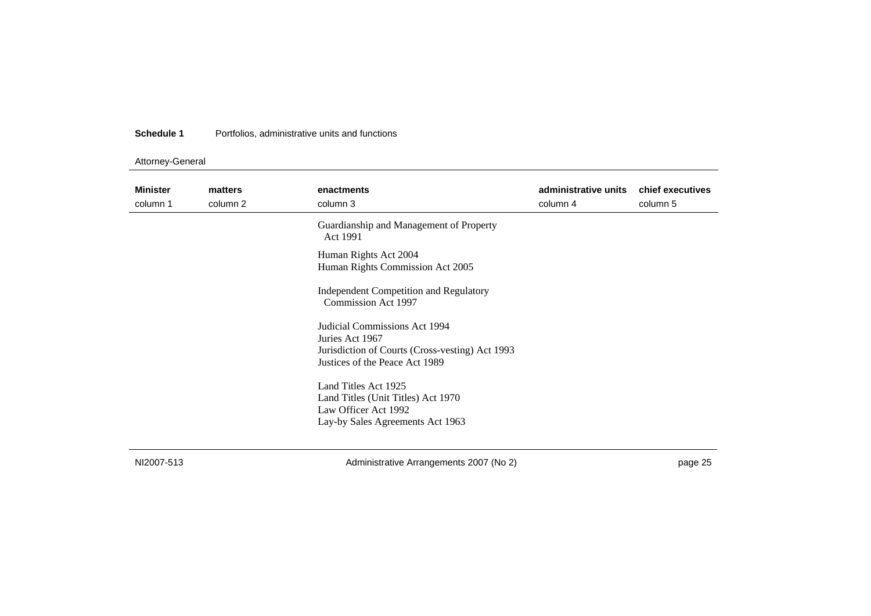### Attorney-General

| Minister<br>column 1 | matters<br>column 2 | enactments<br>column 3                                                                                                                | administrative units<br>column 4 | chief executives<br>column 5 |
|----------------------|---------------------|---------------------------------------------------------------------------------------------------------------------------------------|----------------------------------|------------------------------|
|                      |                     | Guardianship and Management of Property<br>Act 1991                                                                                   |                                  |                              |
|                      |                     | Human Rights Act 2004<br>Human Rights Commission Act 2005                                                                             |                                  |                              |
|                      |                     | <b>Independent Competition and Regulatory</b><br>Commission Act 1997                                                                  |                                  |                              |
|                      |                     | Judicial Commissions Act 1994<br>Juries Act 1967<br>Jurisdiction of Courts (Cross-vesting) Act 1993<br>Justices of the Peace Act 1989 |                                  |                              |
|                      |                     | Land Titles Act 1925<br>Land Titles (Unit Titles) Act 1970<br>Law Officer Act 1992<br>Lay-by Sales Agreements Act 1963                |                                  |                              |

NI2007-513

Administrative Arrangements 2007 (No 2) end contract the contract page 25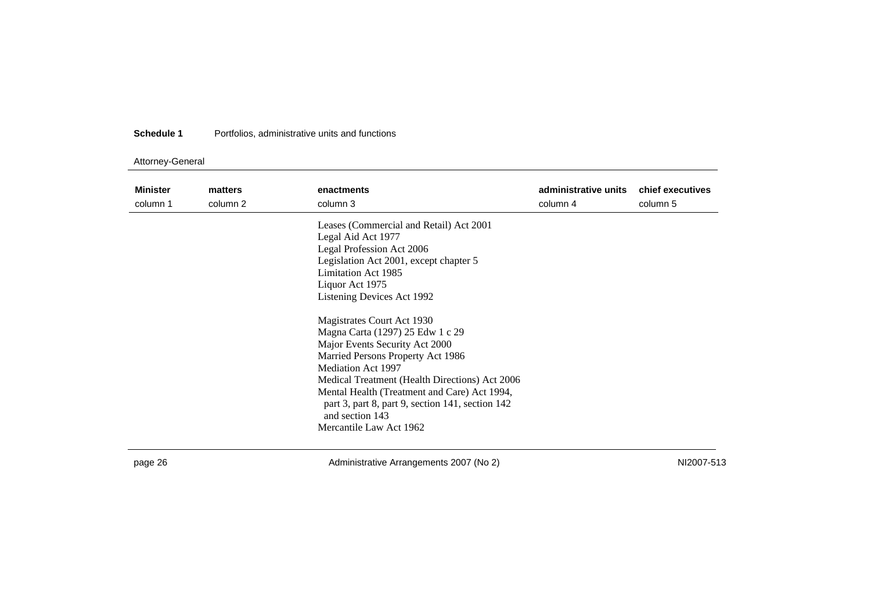### Attorney-General

| <b>Minister</b><br>matters<br>column 1<br>column 2 | enactments<br>column 3                                                                                                                                                                                                                                                                                                                                                                                                                                                                                                                                                                 | administrative units<br>column 4 | chief executives<br>column 5 |
|----------------------------------------------------|----------------------------------------------------------------------------------------------------------------------------------------------------------------------------------------------------------------------------------------------------------------------------------------------------------------------------------------------------------------------------------------------------------------------------------------------------------------------------------------------------------------------------------------------------------------------------------------|----------------------------------|------------------------------|
|                                                    | Leases (Commercial and Retail) Act 2001<br>Legal Aid Act 1977<br>Legal Profession Act 2006<br>Legislation Act 2001, except chapter 5<br><b>Limitation Act 1985</b><br>Liquor Act 1975<br>Listening Devices Act 1992<br>Magistrates Court Act 1930<br>Magna Carta (1297) 25 Edw 1 c 29<br>Major Events Security Act 2000<br>Married Persons Property Act 1986<br>Mediation Act 1997<br>Medical Treatment (Health Directions) Act 2006<br>Mental Health (Treatment and Care) Act 1994,<br>part 3, part 8, part 9, section 141, section 142<br>and section 143<br>Mercantile Law Act 1962 |                                  |                              |

page 26 MI2007-513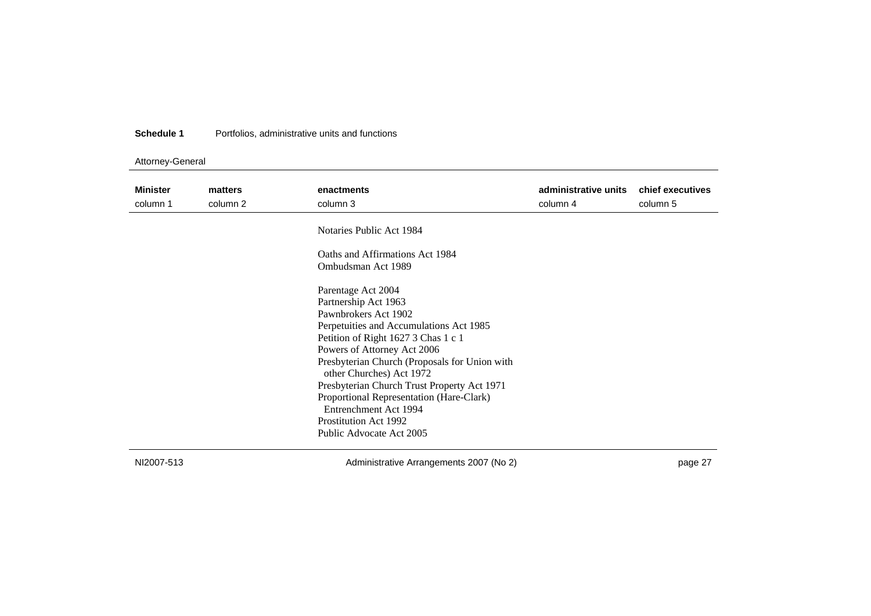### Attorney-General

| <b>Minister</b> | matters  | enactments                                    | administrative units | chief executives |
|-----------------|----------|-----------------------------------------------|----------------------|------------------|
| column 1        | column 2 | column 3                                      | column 4             | column 5         |
|                 |          |                                               |                      |                  |
|                 |          | Notaries Public Act 1984                      |                      |                  |
|                 |          |                                               |                      |                  |
|                 |          | Oaths and Affirmations Act 1984               |                      |                  |
|                 |          | Ombudsman Act 1989                            |                      |                  |
|                 |          | Parentage Act 2004                            |                      |                  |
|                 |          | Partnership Act 1963                          |                      |                  |
|                 |          | Pawnbrokers Act 1902                          |                      |                  |
|                 |          | Perpetuities and Accumulations Act 1985       |                      |                  |
|                 |          | Petition of Right 1627 3 Chas 1 c 1           |                      |                  |
|                 |          | Powers of Attorney Act 2006                   |                      |                  |
|                 |          | Presbyterian Church (Proposals for Union with |                      |                  |
|                 |          | other Churches) Act 1972                      |                      |                  |
|                 |          | Presbyterian Church Trust Property Act 1971   |                      |                  |
|                 |          | Proportional Representation (Hare-Clark)      |                      |                  |
|                 |          | Entrenchment Act 1994                         |                      |                  |
|                 |          | Prostitution Act 1992                         |                      |                  |
|                 |          | Public Advocate Act 2005                      |                      |                  |
|                 |          |                                               |                      |                  |

NI2007-513

Administrative Arrangements 2007 (No 2) end contract the state of the page 27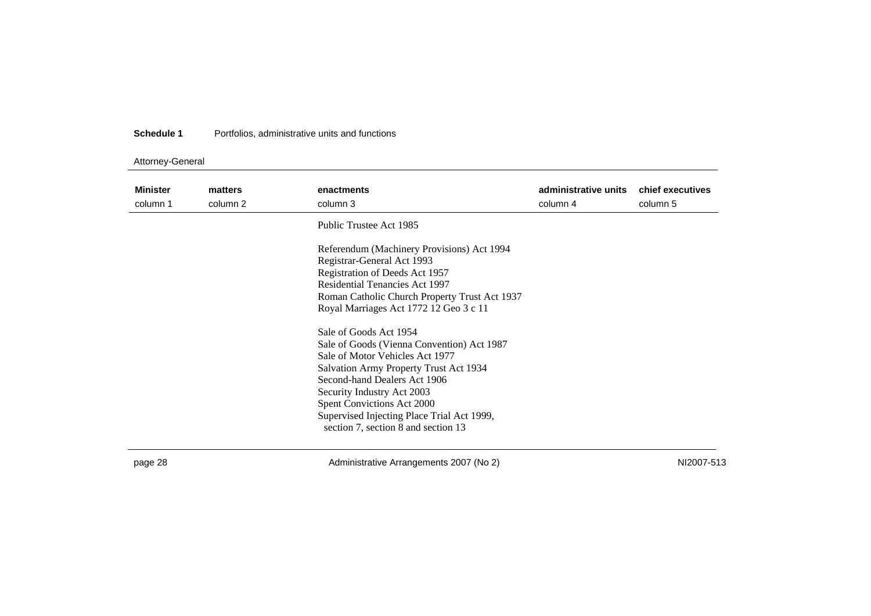### Attorney-General

| <b>Minister</b><br>column 1 | matters<br>column 2 | enactments<br>column 3                                                                                                                                                                                                                                                                                                                                                                                                                                                                                                                        | administrative units<br>column 4 | chief executives<br>column 5 |
|-----------------------------|---------------------|-----------------------------------------------------------------------------------------------------------------------------------------------------------------------------------------------------------------------------------------------------------------------------------------------------------------------------------------------------------------------------------------------------------------------------------------------------------------------------------------------------------------------------------------------|----------------------------------|------------------------------|
|                             |                     | Public Trustee Act 1985                                                                                                                                                                                                                                                                                                                                                                                                                                                                                                                       |                                  |                              |
|                             |                     | Referendum (Machinery Provisions) Act 1994<br>Registrar-General Act 1993<br>Registration of Deeds Act 1957<br><b>Residential Tenancies Act 1997</b><br>Roman Catholic Church Property Trust Act 1937<br>Royal Marriages Act 1772 12 Geo 3 c 11<br>Sale of Goods Act 1954<br>Sale of Goods (Vienna Convention) Act 1987<br>Sale of Motor Vehicles Act 1977<br>Salvation Army Property Trust Act 1934<br>Second-hand Dealers Act 1906<br>Security Industry Act 2003<br>Spent Convictions Act 2000<br>Supervised Injecting Place Trial Act 1999, |                                  |                              |
|                             |                     | section 7, section 8 and section 13                                                                                                                                                                                                                                                                                                                                                                                                                                                                                                           |                                  |                              |

page 28 MI2007-513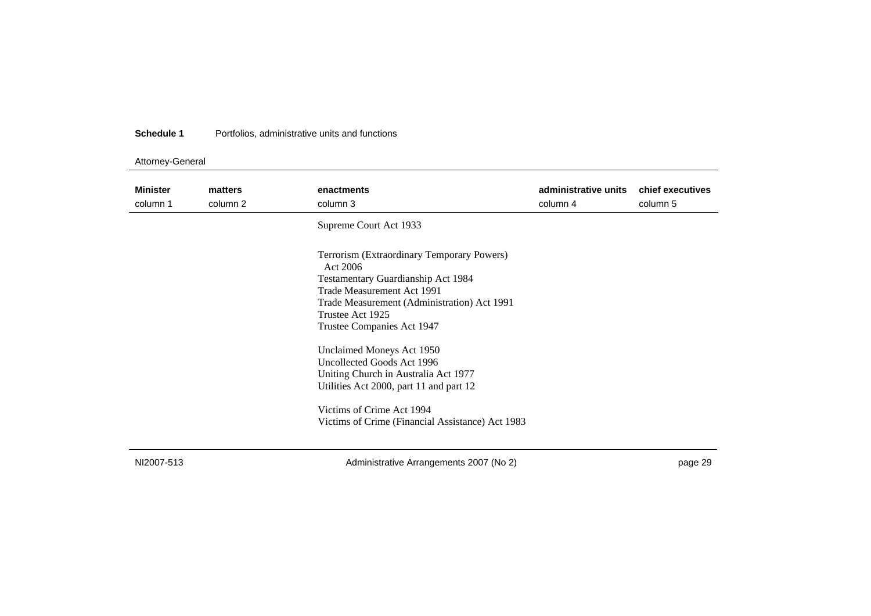### Attorney-General

| <b>Minister</b> | matters  | enactments                                             | administrative units | chief executives |
|-----------------|----------|--------------------------------------------------------|----------------------|------------------|
| column 1        | column 2 | column 3                                               | column 4             | column 5         |
|                 |          | Supreme Court Act 1933                                 |                      |                  |
|                 |          | Terrorism (Extraordinary Temporary Powers)<br>Act 2006 |                      |                  |
|                 |          | Testamentary Guardianship Act 1984                     |                      |                  |
|                 |          | Trade Measurement Act 1991                             |                      |                  |
|                 |          | Trade Measurement (Administration) Act 1991            |                      |                  |
|                 |          | Trustee Act 1925                                       |                      |                  |
|                 |          | Trustee Companies Act 1947                             |                      |                  |
|                 |          | Unclaimed Moneys Act 1950                              |                      |                  |
|                 |          | Uncollected Goods Act 1996                             |                      |                  |
|                 |          | Uniting Church in Australia Act 1977                   |                      |                  |
|                 |          | Utilities Act 2000, part 11 and part 12                |                      |                  |
|                 |          | Victims of Crime Act 1994                              |                      |                  |
|                 |          | Victims of Crime (Financial Assistance) Act 1983       |                      |                  |
|                 |          |                                                        |                      |                  |

NI2007-513

Administrative Arrangements 2007 (No 2) end contract the contract page 29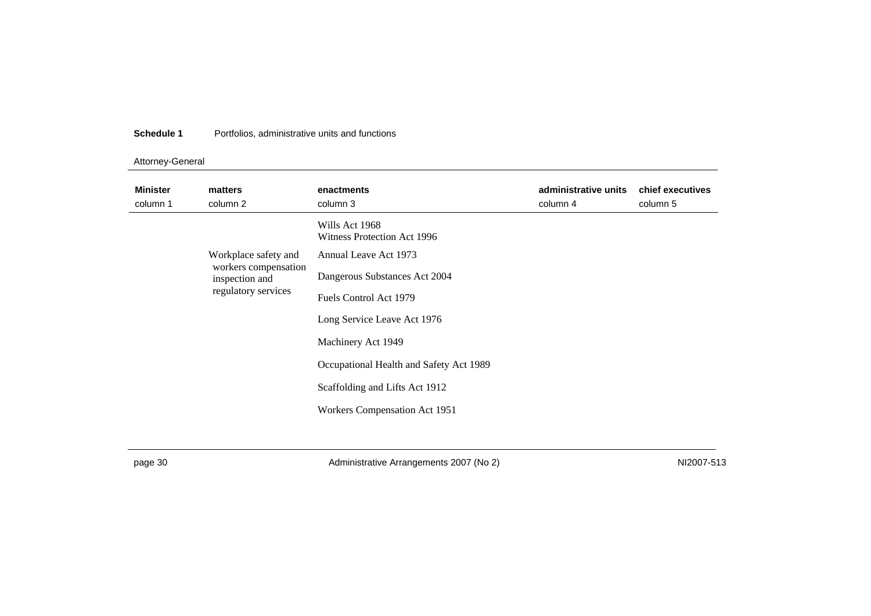### Attorney-General

| <b>Minister</b><br>column 1 | matters<br>column 2                                                                   | enactments<br>column 3                        | administrative units<br>column 4 | chief executives<br>column 5 |
|-----------------------------|---------------------------------------------------------------------------------------|-----------------------------------------------|----------------------------------|------------------------------|
|                             |                                                                                       | Wills Act 1968<br>Witness Protection Act 1996 |                                  |                              |
|                             | Workplace safety and<br>workers compensation<br>inspection and<br>regulatory services | Annual Leave Act 1973                         |                                  |                              |
|                             |                                                                                       | Dangerous Substances Act 2004                 |                                  |                              |
|                             |                                                                                       | Fuels Control Act 1979                        |                                  |                              |
|                             |                                                                                       | Long Service Leave Act 1976                   |                                  |                              |
|                             |                                                                                       | Machinery Act 1949                            |                                  |                              |
|                             |                                                                                       | Occupational Health and Safety Act 1989       |                                  |                              |
|                             |                                                                                       | Scaffolding and Lifts Act 1912                |                                  |                              |
|                             |                                                                                       | Workers Compensation Act 1951                 |                                  |                              |

page 30 NI2007-513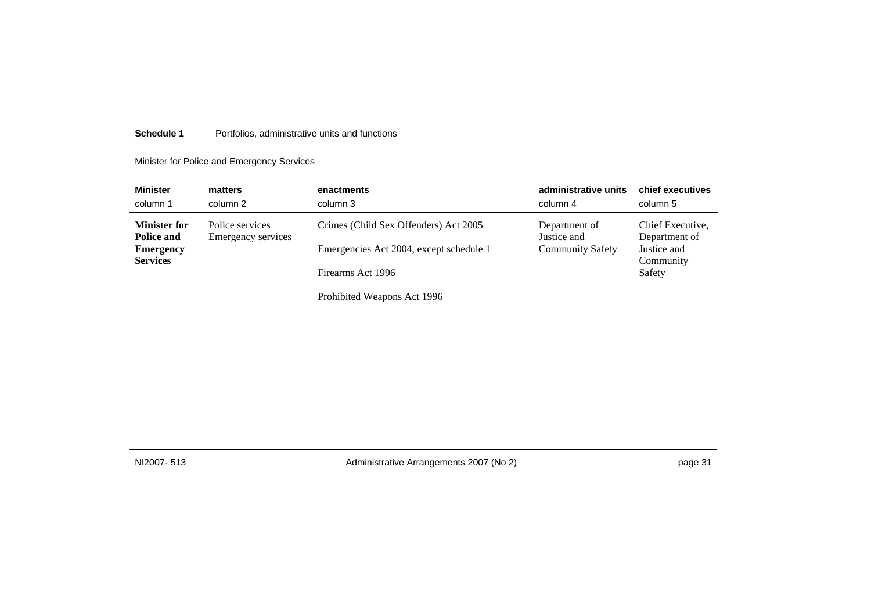### Minister for Police and Emergency Services

| <b>Minister</b>                                                          | matters                               | enactments                                                                                            | administrative units                                    | chief executives                                                        |
|--------------------------------------------------------------------------|---------------------------------------|-------------------------------------------------------------------------------------------------------|---------------------------------------------------------|-------------------------------------------------------------------------|
| column 1                                                                 | column 2                              | column 3                                                                                              | column 4                                                | column 5                                                                |
| <b>Minister for</b><br>Police and<br><b>Emergency</b><br><b>Services</b> | Police services<br>Emergency services | Crimes (Child Sex Offenders) Act 2005<br>Emergencies Act 2004, except schedule 1<br>Firearms Act 1996 | Department of<br>Justice and<br><b>Community Safety</b> | Chief Executive,<br>Department of<br>Justice and<br>Community<br>Safety |

Prohibited Weapons Act 1996

NI2007- 513

Administrative Arrangements 2007 (No 2) end and the state of the page 31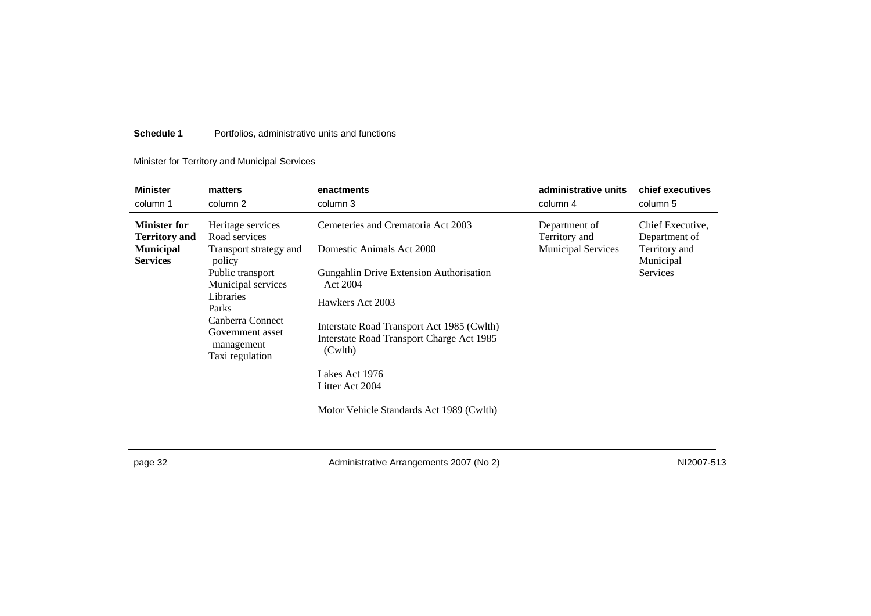### Minister for Territory and Municipal Services

| <b>Minister</b>                                                                    | matters                                                                                                                                                                                                                | enactments                                                                                                                                                                                                                                                                                                                               | administrative units                                        | chief executives                                                                   |
|------------------------------------------------------------------------------------|------------------------------------------------------------------------------------------------------------------------------------------------------------------------------------------------------------------------|------------------------------------------------------------------------------------------------------------------------------------------------------------------------------------------------------------------------------------------------------------------------------------------------------------------------------------------|-------------------------------------------------------------|------------------------------------------------------------------------------------|
| column 1                                                                           | column 2                                                                                                                                                                                                               | column 3                                                                                                                                                                                                                                                                                                                                 | column 4                                                    | column 5                                                                           |
| <b>Minister for</b><br><b>Territory and</b><br><b>Municipal</b><br><b>Services</b> | Heritage services<br>Road services<br>Transport strategy and<br>policy<br>Public transport<br>Municipal services<br><b>Libraries</b><br>Parks<br>Canberra Connect<br>Government asset<br>management<br>Taxi regulation | Cemeteries and Crematoria Act 2003<br>Domestic Animals Act 2000<br><b>Gungahlin Drive Extension Authorisation</b><br>Act 2004<br>Hawkers Act 2003<br>Interstate Road Transport Act 1985 (Cwlth)<br>Interstate Road Transport Charge Act 1985<br>(Cwlth)<br>Lakes Act 1976<br>Litter Act 2004<br>Motor Vehicle Standards Act 1989 (Cwlth) | Department of<br>Territory and<br><b>Municipal Services</b> | Chief Executive.<br>Department of<br>Territory and<br>Municipal<br><b>Services</b> |

page 32 NI2007-513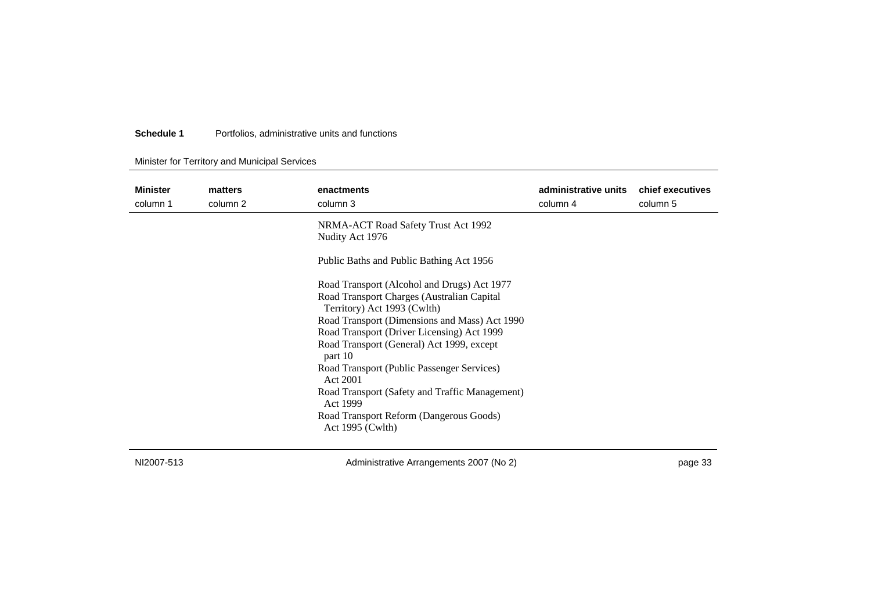### Minister for Territory and Municipal Services

| <b>Minister</b><br>column 1 | matters<br>column 2 | enactments<br>column 3                                                                                                                                                                                                                                                                                                                                                                                                                                                   | administrative units<br>column 4 | chief executives<br>column 5 |
|-----------------------------|---------------------|--------------------------------------------------------------------------------------------------------------------------------------------------------------------------------------------------------------------------------------------------------------------------------------------------------------------------------------------------------------------------------------------------------------------------------------------------------------------------|----------------------------------|------------------------------|
|                             |                     | NRMA-ACT Road Safety Trust Act 1992<br>Nudity Act 1976                                                                                                                                                                                                                                                                                                                                                                                                                   |                                  |                              |
|                             |                     | Public Baths and Public Bathing Act 1956                                                                                                                                                                                                                                                                                                                                                                                                                                 |                                  |                              |
|                             |                     | Road Transport (Alcohol and Drugs) Act 1977<br>Road Transport Charges (Australian Capital<br>Territory) Act 1993 (Cwlth)<br>Road Transport (Dimensions and Mass) Act 1990<br>Road Transport (Driver Licensing) Act 1999<br>Road Transport (General) Act 1999, except<br>part 10<br>Road Transport (Public Passenger Services)<br>Act 2001<br>Road Transport (Safety and Traffic Management)<br>Act 1999<br>Road Transport Reform (Dangerous Goods)<br>Act $1995$ (Cwlth) |                                  |                              |

NI2007-513

Administrative Arrangements 2007 (No 2) eage 33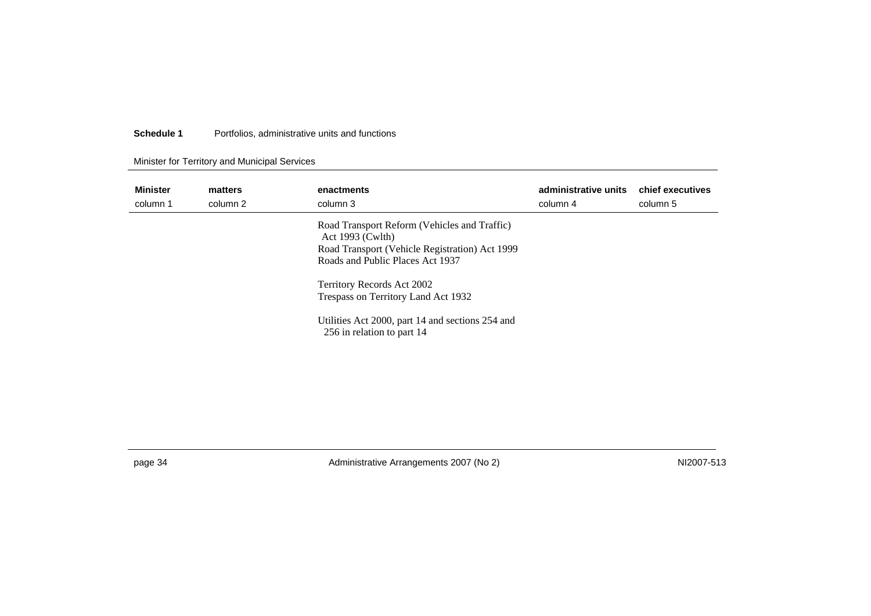### Minister for Territory and Municipal Services

| Minister<br>column 1 | matters<br>column 2 | enactments<br>column 3                                                                                                                                                                      | administrative units<br>column 4 | chief executives<br>column 5 |
|----------------------|---------------------|---------------------------------------------------------------------------------------------------------------------------------------------------------------------------------------------|----------------------------------|------------------------------|
|                      |                     | Road Transport Reform (Vehicles and Traffic)<br>Act 1993 (Cwlth)<br>Road Transport (Vehicle Registration) Act 1999<br>Roads and Public Places Act 1937<br><b>Territory Records Act 2002</b> |                                  |                              |
|                      |                     | Trespass on Territory Land Act 1932                                                                                                                                                         |                                  |                              |
|                      |                     | Utilities Act 2000, part 14 and sections 254 and<br>256 in relation to part 14                                                                                                              |                                  |                              |

page 34 NI2007-513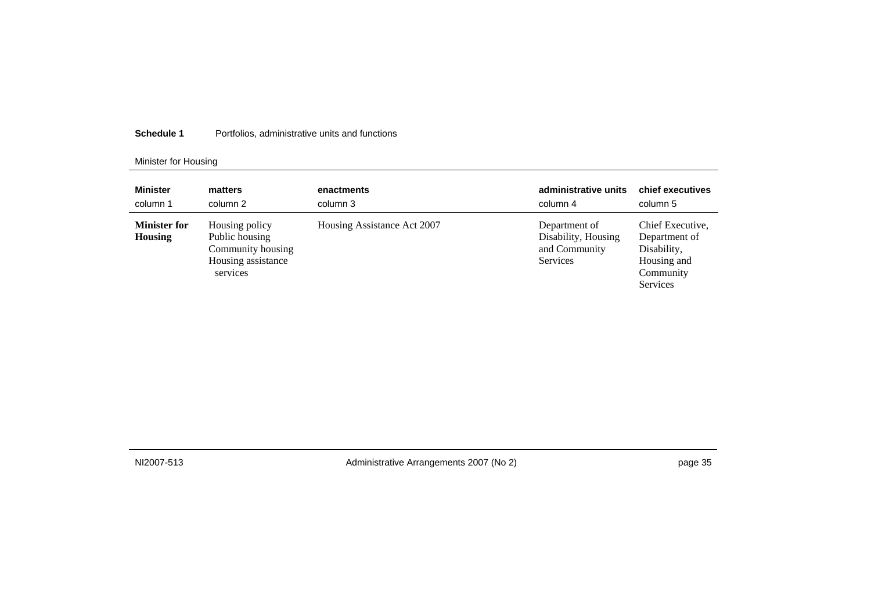### Minister for Housing

| <b>Minister</b>                       | matters                                                                                 | enactments                  | administrative units                                              | chief executives                                                                         |
|---------------------------------------|-----------------------------------------------------------------------------------------|-----------------------------|-------------------------------------------------------------------|------------------------------------------------------------------------------------------|
| column 1                              | column 2                                                                                | column 3                    | column 4                                                          | column 5                                                                                 |
| <b>Minister for</b><br><b>Housing</b> | Housing policy<br>Public housing<br>Community housing<br>Housing assistance<br>services | Housing Assistance Act 2007 | Department of<br>Disability, Housing<br>and Community<br>Services | Chief Executive,<br>Department of<br>Disability,<br>Housing and<br>Community<br>Services |

NI2007-513

Administrative Arrangements 2007 (No 2) end contract the state of the page 35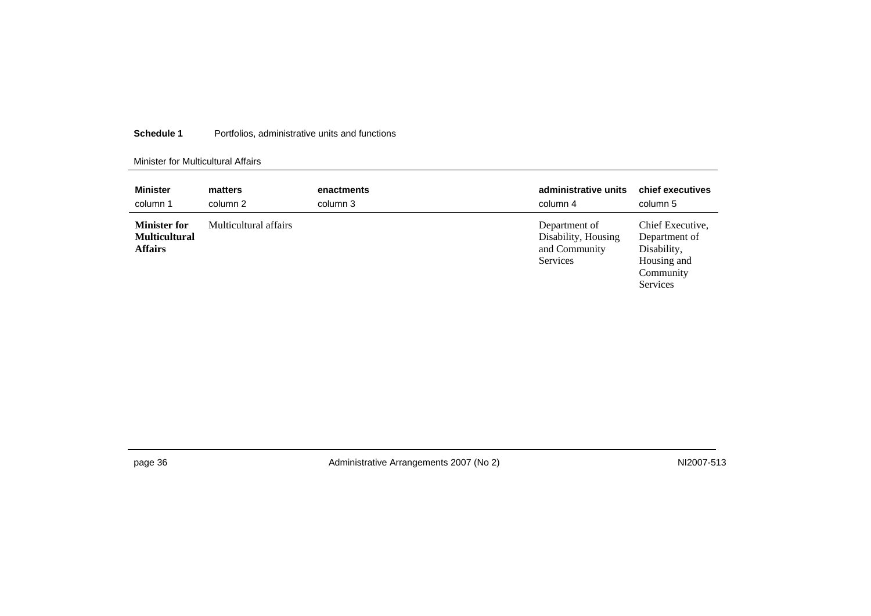#### Minister for Multicultural Affairs

| <b>Minister</b>                                               | matters               | enactments | administrative units                                                     | chief executives                                                                         |
|---------------------------------------------------------------|-----------------------|------------|--------------------------------------------------------------------------|------------------------------------------------------------------------------------------|
| column 1                                                      | column 2              | column 3   | column 4                                                                 | column 5                                                                                 |
| <b>Minister for</b><br><b>Multicultural</b><br><b>Affairs</b> | Multicultural affairs |            | Department of<br>Disability, Housing<br>and Community<br><b>Services</b> | Chief Executive,<br>Department of<br>Disability,<br>Housing and<br>Community<br>Services |

page 36 MI2007-513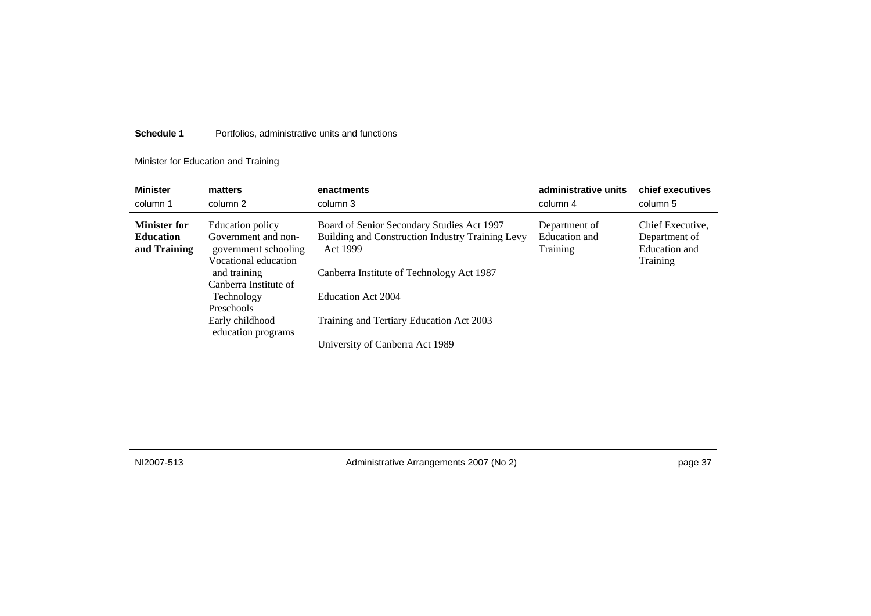### Minister for Education and Training

| <b>Minister</b><br>column 1                             | matters<br>column 2                                                                     | enactments<br>column 3                                                                                     | administrative units<br>column 4           | chief executives<br>column 5                                   |
|---------------------------------------------------------|-----------------------------------------------------------------------------------------|------------------------------------------------------------------------------------------------------------|--------------------------------------------|----------------------------------------------------------------|
| <b>Minister for</b><br><b>Education</b><br>and Training | Education policy<br>Government and non-<br>government schooling<br>Vocational education | Board of Senior Secondary Studies Act 1997<br>Building and Construction Industry Training Levy<br>Act 1999 | Department of<br>Education and<br>Training | Chief Executive,<br>Department of<br>Education and<br>Training |
|                                                         | and training<br>Canberra Institute of                                                   | Canberra Institute of Technology Act 1987                                                                  |                                            |                                                                |
|                                                         | Technology<br>Preschools                                                                | Education Act 2004                                                                                         |                                            |                                                                |
|                                                         | Early childhood<br>education programs                                                   | Training and Tertiary Education Act 2003                                                                   |                                            |                                                                |
|                                                         |                                                                                         | University of Canberra Act 1989                                                                            |                                            |                                                                |

NI2007-513

Administrative Arrangements 2007 (No 2) end contract the state of the page 37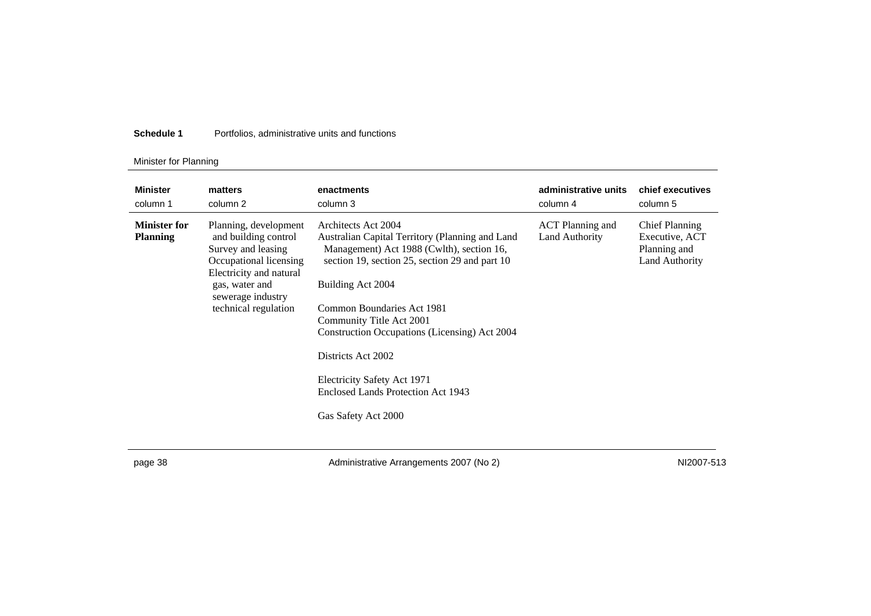### Minister for Planning

| <b>Minister</b>                        | matters                                                                                                                                                                                 | enactments                                                                                                                                                                                                                                                                                                                                                                                                              | administrative units                             | chief executives                                                          |
|----------------------------------------|-----------------------------------------------------------------------------------------------------------------------------------------------------------------------------------------|-------------------------------------------------------------------------------------------------------------------------------------------------------------------------------------------------------------------------------------------------------------------------------------------------------------------------------------------------------------------------------------------------------------------------|--------------------------------------------------|---------------------------------------------------------------------------|
| column 1                               | column 2                                                                                                                                                                                | column 3                                                                                                                                                                                                                                                                                                                                                                                                                | column 4                                         | column 5                                                                  |
| <b>Minister for</b><br><b>Planning</b> | Planning, development<br>and building control<br>Survey and leasing<br>Occupational licensing<br>Electricity and natural<br>gas, water and<br>sewerage industry<br>technical regulation | Architects Act 2004<br>Australian Capital Territory (Planning and Land<br>Management) Act 1988 (Cwlth), section 16,<br>section 19, section 25, section 29 and part 10<br>Building Act 2004<br>Common Boundaries Act 1981<br>Community Title Act 2001<br>Construction Occupations (Licensing) Act 2004<br>Districts Act 2002<br>Electricity Safety Act 1971<br>Enclosed Lands Protection Act 1943<br>Gas Safety Act 2000 | <b>ACT</b> Planning and<br><b>Land Authority</b> | <b>Chief Planning</b><br>Executive, ACT<br>Planning and<br>Land Authority |

page 38 MI2007-513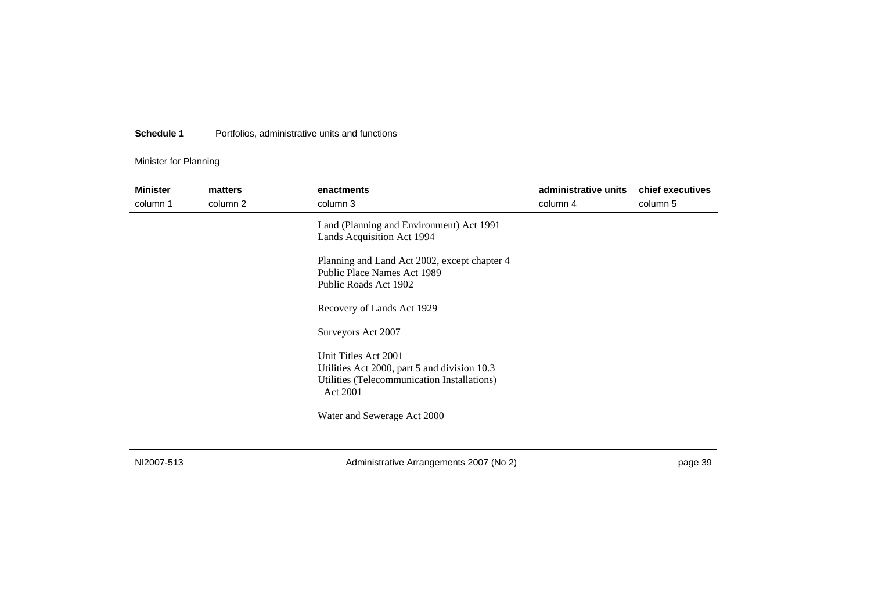### Minister for Planning

| <b>Minister</b><br>column 1 | matters<br>column 2 | enactments<br>column 3                                                                                                          | administrative units<br>column 4 | chief executives<br>column 5 |
|-----------------------------|---------------------|---------------------------------------------------------------------------------------------------------------------------------|----------------------------------|------------------------------|
|                             |                     | Land (Planning and Environment) Act 1991<br>Lands Acquisition Act 1994                                                          |                                  |                              |
|                             |                     | Planning and Land Act 2002, except chapter 4<br>Public Place Names Act 1989<br>Public Roads Act 1902                            |                                  |                              |
|                             |                     | Recovery of Lands Act 1929                                                                                                      |                                  |                              |
|                             |                     | Surveyors Act 2007                                                                                                              |                                  |                              |
|                             |                     | Unit Titles Act 2001<br>Utilities Act 2000, part 5 and division 10.3<br>Utilities (Telecommunication Installations)<br>Act 2001 |                                  |                              |
|                             |                     | Water and Sewerage Act 2000                                                                                                     |                                  |                              |
|                             |                     |                                                                                                                                 |                                  |                              |

NI2007-513

Administrative Arrangements 2007 (No 2) end of the state of the page 39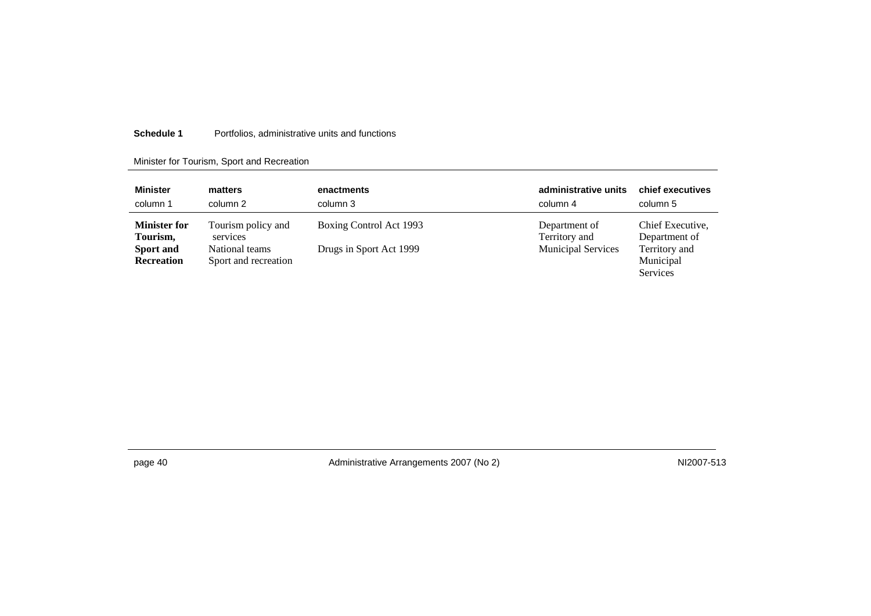### Minister for Tourism, Sport and Recreation

| <b>Minister</b>                | matters                                | enactments              | administrative units      | chief executives                       |
|--------------------------------|----------------------------------------|-------------------------|---------------------------|----------------------------------------|
| column 1                       | column 2                               | column 3                | column 4                  | column 5                               |
| <b>Minister for</b>            | Tourism policy and                     | Boxing Control Act 1993 | Department of             | Chief Executive,                       |
| Tourism,                       | services                               |                         | Territory and             | Department of                          |
| Sport and<br><b>Recreation</b> | National teams<br>Sport and recreation | Drugs in Sport Act 1999 | <b>Municipal Services</b> | Territory and<br>Municipal<br>Services |

page 40 **Administrative Arrangements 2007 (No 2)** MI2007-513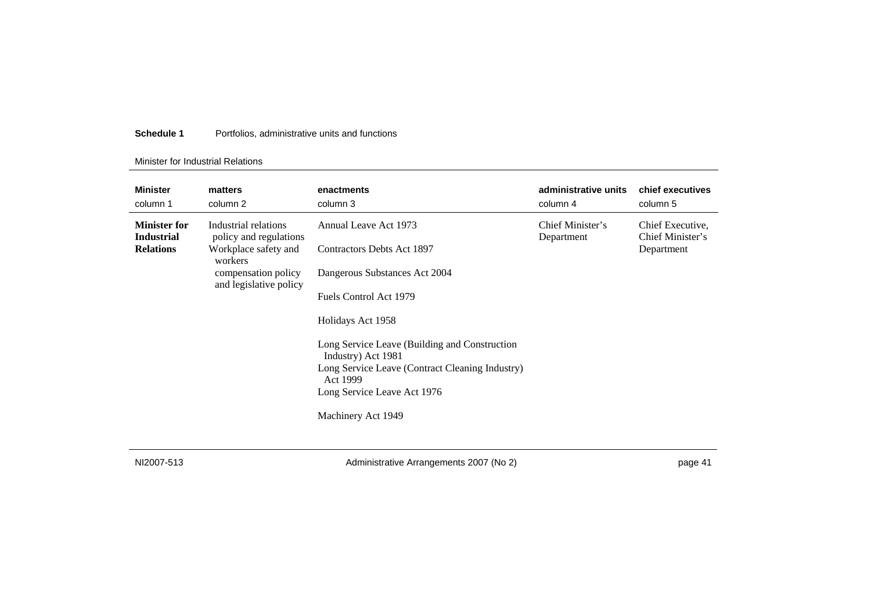#### Minister for Industrial Relations

| <b>Minister</b>                                              | matters                                                                                                                            | enactments                                                                                                                                                                                                                                                                                                                     | administrative units           | chief executives                                   |
|--------------------------------------------------------------|------------------------------------------------------------------------------------------------------------------------------------|--------------------------------------------------------------------------------------------------------------------------------------------------------------------------------------------------------------------------------------------------------------------------------------------------------------------------------|--------------------------------|----------------------------------------------------|
| column 1                                                     | column 2                                                                                                                           | column 3                                                                                                                                                                                                                                                                                                                       | column 4                       | column 5                                           |
| <b>Minister for</b><br><b>Industrial</b><br><b>Relations</b> | Industrial relations<br>policy and regulations<br>Workplace safety and<br>workers<br>compensation policy<br>and legislative policy | Annual Leave Act 1973<br>Contractors Debts Act 1897<br>Dangerous Substances Act 2004<br>Fuels Control Act 1979<br>Holidays Act 1958<br>Long Service Leave (Building and Construction<br>Industry) Act 1981<br>Long Service Leave (Contract Cleaning Industry)<br>Act 1999<br>Long Service Leave Act 1976<br>Machinery Act 1949 | Chief Minister's<br>Department | Chief Executive,<br>Chief Minister's<br>Department |

NI2007-513

Administrative Arrangements 2007 (No 2) eage 41